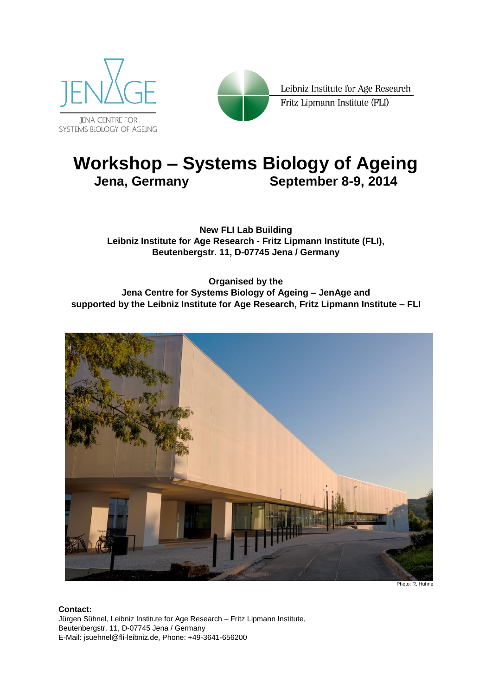



Leibniz Institute for Age Research Fritz Lipmann Institute (FLI)

## **Workshop – Systems Biology of Ageing Jena, Germany September 8-9, 2014**

**New FLI Lab Building Leibniz Institute for Age Research - Fritz Lipmann Institute (FLI), Beutenbergstr. 11, D-07745 Jena / Germany**

**Organised by the Jena Centre for Systems Biology of Ageing – JenAge and supported by the Leibniz Institute for Age Research, Fritz Lipmann Institute – FLI**



Photo: R. Hühne

#### **Contact:**

Jürgen Sühnel, Leibniz Institute for Age Research – Fritz Lipmann Institute, Beutenbergstr. 11, D-07745 Jena / Germany E-Mail: jsuehnel@fli-leibniz.de, Phone: +49-3641-656200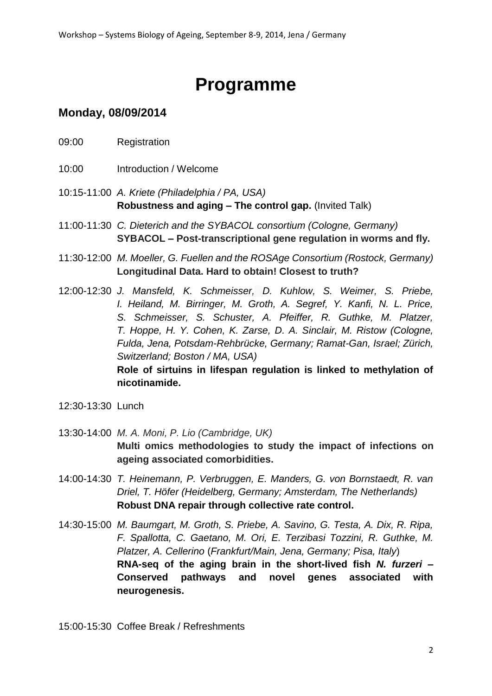# **Programme**

## **Monday, 08/09/2014**

- 09:00 Registration
- 10:00 Introduction / Welcome
- 10:15-11:00 *A. Kriete (Philadelphia / PA, USA)* **Robustness and aging – The control gap.** (Invited Talk)
- 11:00-11:30 *C. Dieterich and the SYBACOL consortium (Cologne, Germany)* **SYBACOL – Post-transcriptional gene regulation in worms and fly.**
- 11:30-12:00 *M. Moeller, G. Fuellen and the ROSAge Consortium (Rostock, Germany)* **Longitudinal Data. Hard to obtain! Closest to truth?**
- 12:00-12:30 *J. Mansfeld, K. Schmeisser, D. Kuhlow, S. Weimer, S. Priebe, I. Heiland, M. Birringer, M. Groth, A. Segref, Y. Kanfi, N. L. Price, S. Schmeisser, S. Schuster, A. Pfeiffer, R. Guthke, M. Platzer, T. Hoppe, H. Y. Cohen, K. Zarse, D. A. Sinclair, M. Ristow (Cologne, Fulda, Jena, Potsdam-Rehbrücke, Germany; Ramat-Gan, Israel; Zürich, Switzerland; Boston / MA, USA)*

**Role of sirtuins in lifespan regulation is linked to methylation of nicotinamide.**

- 12:30-13:30 Lunch
- 13:30-14:00 *M. A. Moni, P. Lio (Cambridge, UK)* **Multi omics methodologies to study the impact of infections on ageing associated comorbidities.**
- 14:00-14:30 *T. Heinemann, P. Verbruggen, E. Manders, G. von Bornstaedt, R. van Driel, T. Höfer (Heidelberg, Germany; Amsterdam, The Netherlands)* **Robust DNA repair through collective rate control.**
- 14:30-15:00 *M. Baumgart, M. Groth, S. Priebe, A. Savino, G. Testa, A. Dix, R. Ripa, F. Spallotta, C. Gaetano, M. Ori, E. Terzibasi Tozzini, R. Guthke, M. Platzer, A. Cellerino* (*Frankfurt/Main, Jena, Germany; Pisa, Italy*) **RNA-seq of the aging brain in the short-lived fish** *N. furzeri* **– Conserved pathways and novel genes associated with neurogenesis.**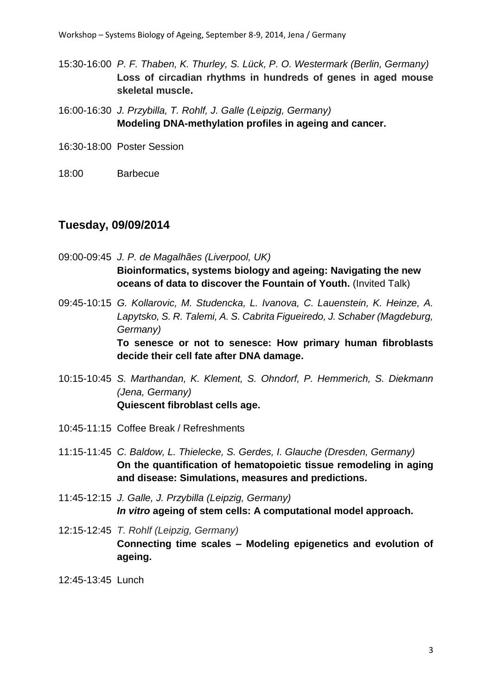- 15:30-16:00 *P. F. Thaben, K. Thurley, S. Lück, P. O. Westermark (Berlin, Germany)* **Loss of circadian rhythms in hundreds of genes in aged mouse skeletal muscle.**
- 16:00-16:30 *J. Przybilla, T. Rohlf, J. Galle (Leipzig, Germany)* **Modeling DNA-methylation profiles in ageing and cancer.**
- 16:30-18:00 Poster Session
- 18:00 Barbecue

#### **Tuesday, 09/09/2014**

09:00-09:45 *J. P. de Magalhães (Liverpool, UK)* **Bioinformatics, systems biology and ageing: Navigating the new oceans of data to discover the Fountain of Youth.** (Invited Talk)

09:45-10:15 *G. Kollarovic, M. Studencka, L. Ivanova, C. Lauenstein, K. Heinze, A. Lapytsko, S. R. Talemi, A. S. Cabrita Figueiredo, J. Schaber (Magdeburg, Germany)*

> **To senesce or not to senesce: How primary human fibroblasts decide their cell fate after DNA damage.**

- 10:15-10:45 *S. Marthandan, K. Klement, S. Ohndorf, P. Hemmerich, S. Diekmann (Jena, Germany)* **Quiescent fibroblast cells age.**
- 10:45-11:15 Coffee Break / Refreshments
- 11:15-11:45 *C. Baldow, L. Thielecke, S. Gerdes, I. Glauche (Dresden, Germany)* **On the quantification of hematopoietic tissue remodeling in aging and disease: Simulations, measures and predictions.**
- 11:45-12:15 *J. Galle, J. Przybilla (Leipzig, Germany) In vitro* **ageing of stem cells: A computational model approach.**
- 12:15-12:45 *T. Rohlf (Leipzig, Germany)* **Connecting time scales – Modeling epigenetics and evolution of ageing.**
- 12:45-13:45 Lunch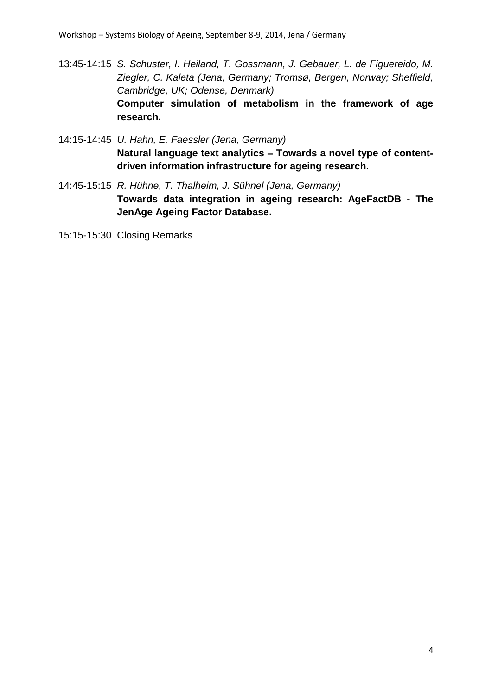- 13:45-14:15 *S. Schuster, I. Heiland, T. Gossmann, J. Gebauer, L. de Figuereido, M. Ziegler, C. Kaleta (Jena, Germany; Tromsø, Bergen, Norway; Sheffield, Cambridge, UK; Odense, Denmark)* **Computer simulation of metabolism in the framework of age research.**
- 14:15-14:45 *U. Hahn, E. Faessler (Jena, Germany)* **Natural language text analytics – Towards a novel type of contentdriven information infrastructure for ageing research.**
- 14:45-15:15 *R. Hühne, T. Thalheim, J. Sühnel (Jena, Germany)* **Towards data integration in ageing research: AgeFactDB - The JenAge Ageing Factor Database.**
- 15:15-15:30 Closing Remarks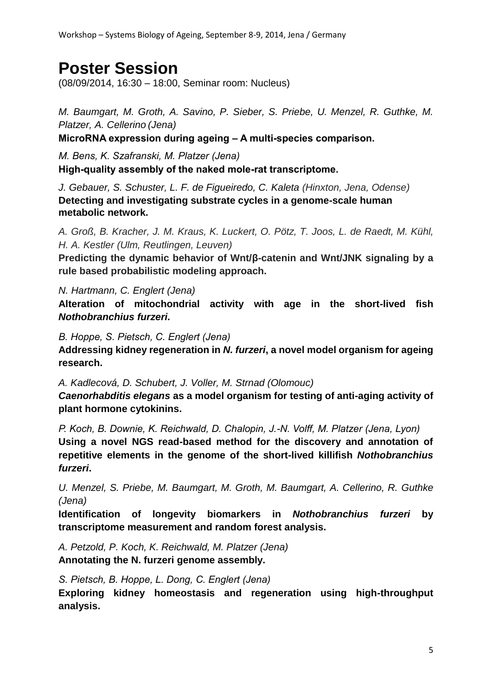## **Poster Session**

(08/09/2014, 16:30 – 18:00, Seminar room: Nucleus)

*M. Baumgart, M. Groth, A. Savino, P. Sieber, S. Priebe, U. Menzel, R. Guthke, M. Platzer, A. Cellerino (Jena)*

**MicroRNA expression during ageing – A multi-species comparison.**

*M. Bens, K. Szafranski, M. Platzer (Jena)* **High-quality assembly of the naked mole-rat transcriptome.**

*J. Gebauer, S. Schuster, L. F. de Figueiredo, C. Kaleta (Hinxton, Jena, Odense)* **Detecting and investigating substrate cycles in a genome-scale human metabolic network.**

*A. Groß, B. Kracher, J. M. Kraus, K. Luckert, O. Pötz, T. Joos, L. de Raedt, M. Kühl, H. A. Kestler (Ulm, Reutlingen, Leuven)*

**Predicting the dynamic behavior of Wnt/β-catenin and Wnt/JNK signaling by a rule based probabilistic modeling approach.**

*N. Hartmann, C. Englert (Jena)*

**Alteration of mitochondrial activity with age in the short-lived fish**  *Nothobranchius furzeri.*

*B. Hoppe, S. Pietsch, C. Englert (Jena)*

**Addressing kidney regeneration in** *N. furzeri***, a novel model organism for ageing research.**

*A. Kadlecová, D. Schubert, J. Voller, M. Strnad (Olomouc)*

*Caenorhabditis elegans* **as a model organism for testing of anti-aging activity of plant hormone cytokinins.**

*P. Koch, B. Downie, K. Reichwald, D. Chalopin, J.-N. Volff, M. Platzer (Jena, Lyon)* **Using a novel NGS read-based method for the discovery and annotation of repetitive elements in the genome of the short-lived killifish** *Nothobranchius furzeri***.**

*U. Menzel, S. Priebe, M. Baumgart, M. Groth, M. Baumgart, A. Cellerino, R. Guthke (Jena)*

**Identification of longevity biomarkers in** *Nothobranchius furzeri* **by transcriptome measurement and random forest analysis.**

*A. Petzold, P. Koch, K. Reichwald, M. Platzer (Jena)* **Annotating the N. furzeri genome assembly.**

*S. Pietsch, B. Hoppe, L. Dong, C. Englert (Jena)*

**Exploring kidney homeostasis and regeneration using high-throughput analysis.**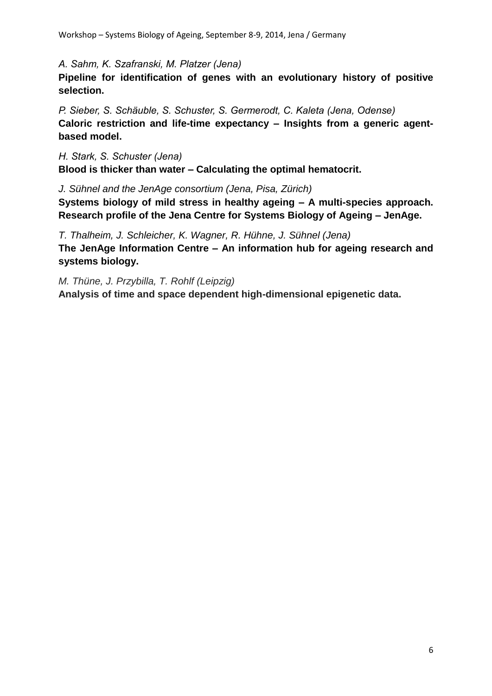*A. Sahm, K. Szafranski, M. Platzer (Jena)*

**Pipeline for identification of genes with an evolutionary history of positive selection.**

*P. Sieber, S. Schäuble, S. Schuster, S. Germerodt, C. Kaleta (Jena, Odense)* **Caloric restriction and life-time expectancy – Insights from a generic agentbased model.**

*H. Stark, S. Schuster (Jena)* **Blood is thicker than water – Calculating the optimal hematocrit.**

*J. Sühnel and the JenAge consortium (Jena, Pisa, Zürich)* **Systems biology of mild stress in healthy ageing – A multi-species approach. Research profile of the Jena Centre for Systems Biology of Ageing – JenAge.**

*T. Thalheim, J. Schleicher, K. Wagner, R. Hühne, J. Sühnel (Jena)* **The JenAge Information Centre – An information hub for ageing research and systems biology.**

*M. Thüne, J. Przybilla, T. Rohlf (Leipzig)* **Analysis of time and space dependent high-dimensional epigenetic data.**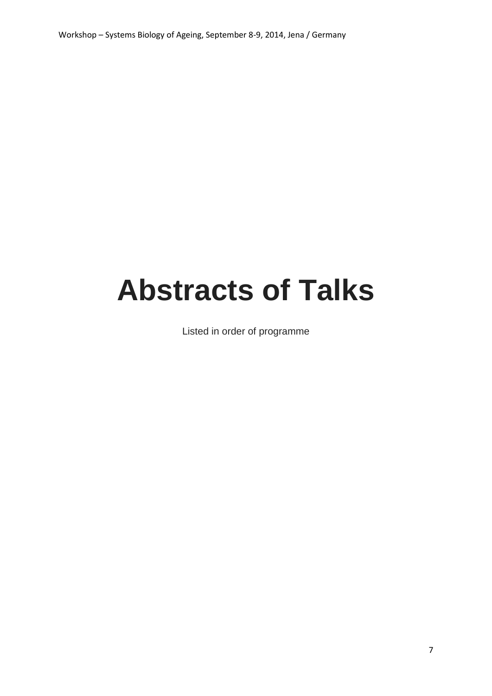Workshop – Systems Biology of Ageing, September 8-9, 2014, Jena / Germany

# **Abstracts of Talks**

Listed in order of programme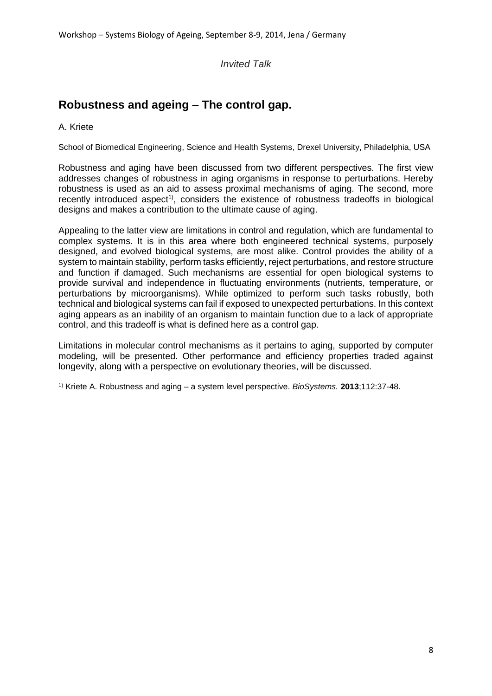*Invited Talk*

## **Robustness and ageing – The control gap.**

A. Kriete

School of Biomedical Engineering, Science and Health Systems, Drexel University, Philadelphia, USA

Robustness and aging have been discussed from two different perspectives. The first view addresses changes of robustness in aging organisms in response to perturbations. Hereby robustness is used as an aid to assess proximal mechanisms of aging. The second, more recently introduced aspect<sup>1)</sup>, considers the existence of robustness tradeoffs in biological designs and makes a contribution to the ultimate cause of aging.

Appealing to the latter view are limitations in control and regulation, which are fundamental to complex systems. It is in this area where both engineered technical systems, purposely designed, and evolved biological systems, are most alike. Control provides the ability of a system to maintain stability, perform tasks efficiently, reject perturbations, and restore structure and function if damaged. Such mechanisms are essential for open biological systems to provide survival and independence in fluctuating environments (nutrients, temperature, or perturbations by microorganisms). While optimized to perform such tasks robustly, both technical and biological systems can fail if exposed to unexpected perturbations. In this context aging appears as an inability of an organism to maintain function due to a lack of appropriate control, and this tradeoff is what is defined here as a control gap.

Limitations in molecular control mechanisms as it pertains to aging, supported by computer modeling, will be presented. Other performance and efficiency properties traded against longevity, along with a perspective on evolutionary theories, will be discussed.

1) Kriete A. Robustness and aging – a system level perspective. *BioSystems.* **2013**;112:37-48.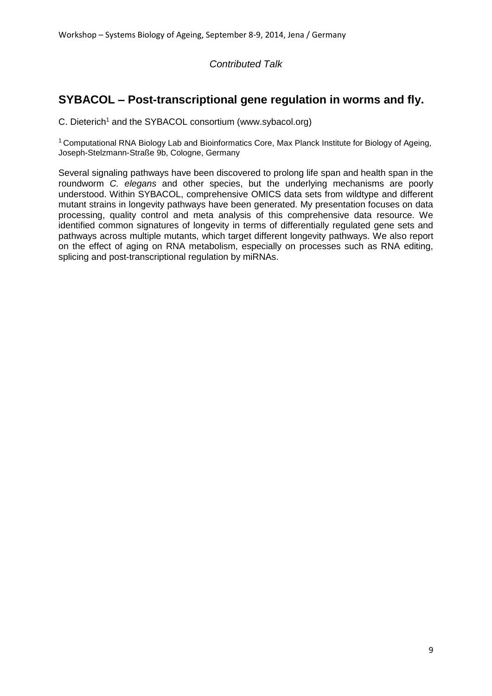## **SYBACOL – Post-transcriptional gene regulation in worms and fly.**

C. Dieterich<sup>1</sup> and the SYBACOL consortium (www.sybacol.org)

<sup>1</sup> Computational RNA Biology Lab and Bioinformatics Core, Max Planck Institute for Biology of Ageing. Joseph-Stelzmann-Straße 9b, Cologne, Germany

Several signaling pathways have been discovered to prolong life span and health span in the roundworm *C. elegans* and other species, but the underlying mechanisms are poorly understood. Within SYBACOL, comprehensive OMICS data sets from wildtype and different mutant strains in longevity pathways have been generated. My presentation focuses on data processing, quality control and meta analysis of this comprehensive data resource. We identified common signatures of longevity in terms of differentially regulated gene sets and pathways across multiple mutants, which target different longevity pathways. We also report on the effect of aging on RNA metabolism, especially on processes such as RNA editing, splicing and post-transcriptional regulation by miRNAs.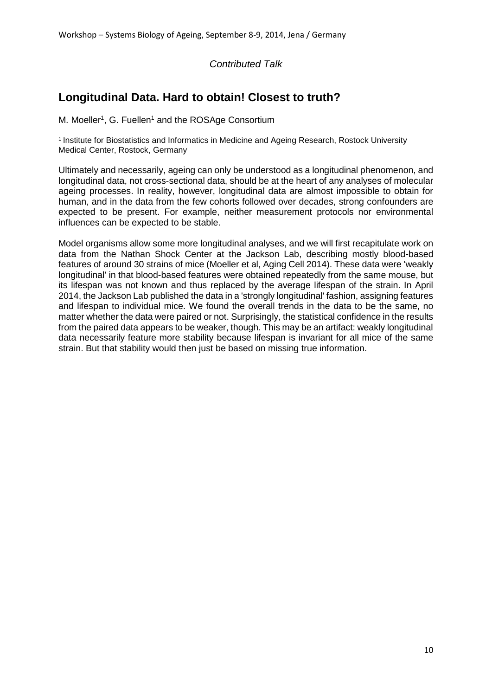## **Longitudinal Data. Hard to obtain! Closest to truth?**

M. Moeller<sup>1</sup>, G. Fuellen<sup>1</sup> and the ROSAge Consortium

1 Institute for Biostatistics and Informatics in Medicine and Ageing Research, Rostock University Medical Center, Rostock, Germany

Ultimately and necessarily, ageing can only be understood as a longitudinal phenomenon, and longitudinal data, not cross-sectional data, should be at the heart of any analyses of molecular ageing processes. In reality, however, longitudinal data are almost impossible to obtain for human, and in the data from the few cohorts followed over decades, strong confounders are expected to be present. For example, neither measurement protocols nor environmental influences can be expected to be stable.

Model organisms allow some more longitudinal analyses, and we will first recapitulate work on data from the Nathan Shock Center at the Jackson Lab, describing mostly blood-based features of around 30 strains of mice (Moeller et al, Aging Cell 2014). These data were 'weakly longitudinal' in that blood-based features were obtained repeatedly from the same mouse, but its lifespan was not known and thus replaced by the average lifespan of the strain. In April 2014, the Jackson Lab published the data in a 'strongly longitudinal' fashion, assigning features and lifespan to individual mice. We found the overall trends in the data to be the same, no matter whether the data were paired or not. Surprisingly, the statistical confidence in the results from the paired data appears to be weaker, though. This may be an artifact: weakly longitudinal data necessarily feature more stability because lifespan is invariant for all mice of the same strain. But that stability would then just be based on missing true information.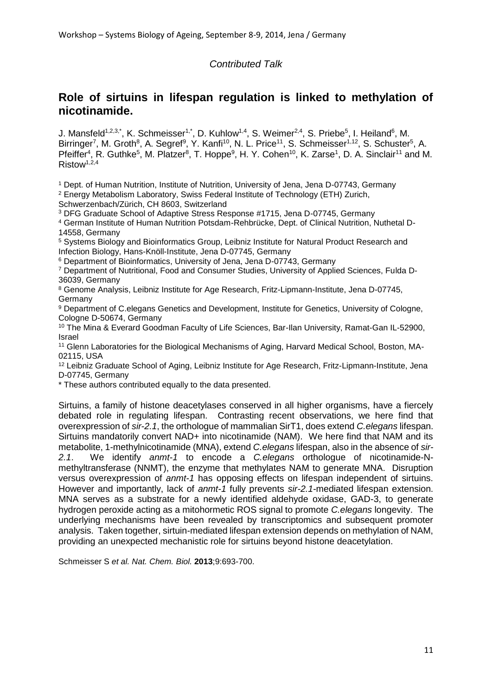## **Role of sirtuins in lifespan regulation is linked to methylation of nicotinamide.**

J. Mansfeld<sup>1,2,3,\*</sup>, K. Schmeisser<sup>1,\*</sup>, D. Kuhlow<sup>1,4</sup>, S. Weimer<sup>2,4</sup>, S. Priebe<sup>5</sup>, I. Heiland<sup>6</sup>, M. Birringer<sup>7</sup>, M. Groth<sup>8</sup>, A. Segref<sup>9</sup>, Y. Kanfi<sup>10</sup>, N. L. Price<sup>11</sup>, S. Schmeisser<sup>1,12</sup>, S. Schuster<sup>5</sup>, A. Pfeiffer<sup>4</sup>, R. Guthke<sup>5</sup>, M. Platzer<sup>8</sup>, T. Hoppe<sup>9</sup>, H. Y. Cohen<sup>10</sup>, K. Zarse<sup>1</sup>, D. A. Sinclair<sup>11</sup> and M.  $Ristow<sup>1,2,4</sup>$ 

<sup>1</sup> Dept. of Human Nutrition, Institute of Nutrition, University of Jena, Jena D-07743, Germany <sup>2</sup> Energy Metabolism Laboratory, Swiss Federal Institute of Technology (ETH) Zurich,

Schwerzenbach/Zürich, CH 8603, Switzerland

<sup>3</sup> DFG Graduate School of Adaptive Stress Response #1715, Jena D-07745, Germany <sup>4</sup> German Institute of Human Nutrition Potsdam-Rehbrücke, Dept. of Clinical Nutrition, Nuthetal D-

14558, Germany

<sup>5</sup> Systems Biology and Bioinformatics Group, Leibniz Institute for Natural Product Research and Infection Biology, Hans-Knöll-Institute, Jena D-07745, Germany

<sup>6</sup> Department of Bioinformatics, University of Jena, Jena D-07743, Germany

<sup>7</sup> Department of Nutritional, Food and Consumer Studies, University of Applied Sciences, Fulda D-36039, Germany

<sup>8</sup> Genome Analysis, Leibniz Institute for Age Research, Fritz-Lipmann-Institute, Jena D-07745, Germany

<sup>9</sup> Department of C.elegans Genetics and Development, Institute for Genetics, University of Cologne, Cologne D-50674, Germany

<sup>10</sup> The Mina & Everard Goodman Faculty of Life Sciences, Bar-Ilan University, Ramat-Gan IL-52900, Israel

<sup>11</sup> Glenn Laboratories for the Biological Mechanisms of Aging, Harvard Medical School, Boston, MA-02115, USA

<sup>12</sup> Leibniz Graduate School of Aging, Leibniz Institute for Age Research, Fritz-Lipmann-Institute, Jena D-07745, Germany

\* These authors contributed equally to the data presented.

Sirtuins, a family of histone deacetylases conserved in all higher organisms, have a fiercely debated role in regulating lifespan. Contrasting recent observations, we here find that overexpression of *sir-2.1*, the orthologue of mammalian SirT1, does extend *C.elegans* lifespan. Sirtuins mandatorily convert NAD+ into nicotinamide (NAM). We here find that NAM and its metabolite, 1-methylnicotinamide (MNA), extend *C.elegans* lifespan, also in the absence of *sir-2.1*. We identify *anmt-1* to encode a *C.elegans* orthologue of nicotinamide-Nmethyltransferase (NNMT), the enzyme that methylates NAM to generate MNA. Disruption versus overexpression of *anmt-1* has opposing effects on lifespan independent of sirtuins. However and importantly, lack of *anmt-1* fully prevents *sir-2.1*-mediated lifespan extension. MNA serves as a substrate for a newly identified aldehyde oxidase, GAD-3, to generate hydrogen peroxide acting as a mitohormetic ROS signal to promote *C.elegans* longevity. The underlying mechanisms have been revealed by transcriptomics and subsequent promoter analysis. Taken together, sirtuin-mediated lifespan extension depends on methylation of NAM, providing an unexpected mechanistic role for sirtuins beyond histone deacetylation.

Schmeisser S *et al. Nat. Chem. Biol.* **2013**;9:693-700.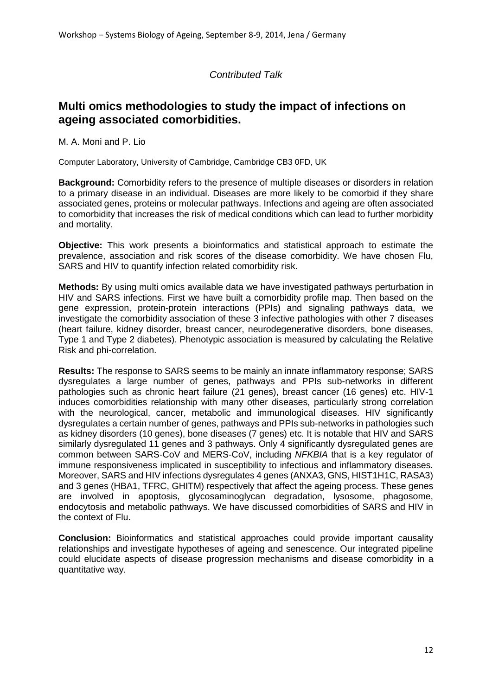## **Multi omics methodologies to study the impact of infections on ageing associated comorbidities.**

M. A. Moni and P. Lio

Computer Laboratory, University of Cambridge, Cambridge CB3 0FD, UK

**Background:** Comorbidity refers to the presence of multiple diseases or disorders in relation to a primary disease in an individual. Diseases are more likely to be comorbid if they share associated genes, proteins or molecular pathways. Infections and ageing are often associated to comorbidity that increases the risk of medical conditions which can lead to further morbidity and mortality.

**Objective:** This work presents a bioinformatics and statistical approach to estimate the prevalence, association and risk scores of the disease comorbidity. We have chosen Flu, SARS and HIV to quantify infection related comorbidity risk.

**Methods:** By using multi omics available data we have investigated pathways perturbation in HIV and SARS infections. First we have built a comorbidity profile map. Then based on the gene expression, protein-protein interactions (PPIs) and signaling pathways data, we investigate the comorbidity association of these 3 infective pathologies with other 7 diseases (heart failure, kidney disorder, breast cancer, neurodegenerative disorders, bone diseases, Type 1 and Type 2 diabetes). Phenotypic association is measured by calculating the Relative Risk and phi-correlation.

**Results:** The response to SARS seems to be mainly an innate inflammatory response; SARS dysregulates a large number of genes, pathways and PPIs sub-networks in different pathologies such as chronic heart failure (21 genes), breast cancer (16 genes) etc. HIV-1 induces comorbidities relationship with many other diseases, particularly strong correlation with the neurological, cancer, metabolic and immunological diseases. HIV significantly dysregulates a certain number of genes, pathways and PPIs sub-networks in pathologies such as kidney disorders (10 genes), bone diseases (7 genes) etc. It is notable that HIV and SARS similarly dysregulated 11 genes and 3 pathways. Only 4 significantly dysregulated genes are common between SARS-CoV and MERS-CoV, including *NFKBIA* that is a key regulator of immune responsiveness implicated in susceptibility to infectious and inflammatory diseases. Moreover, SARS and HIV infections dysregulates 4 genes (ANXA3, GNS, HIST1H1C, RASA3) and 3 genes (HBA1, TFRC, GHITM) respectively that affect the ageing process. These genes are involved in apoptosis, glycosaminoglycan degradation, lysosome, phagosome, endocytosis and metabolic pathways. We have discussed comorbidities of SARS and HIV in the context of Flu.

**Conclusion:** Bioinformatics and statistical approaches could provide important causality relationships and investigate hypotheses of ageing and senescence. Our integrated pipeline could elucidate aspects of disease progression mechanisms and disease comorbidity in a quantitative way.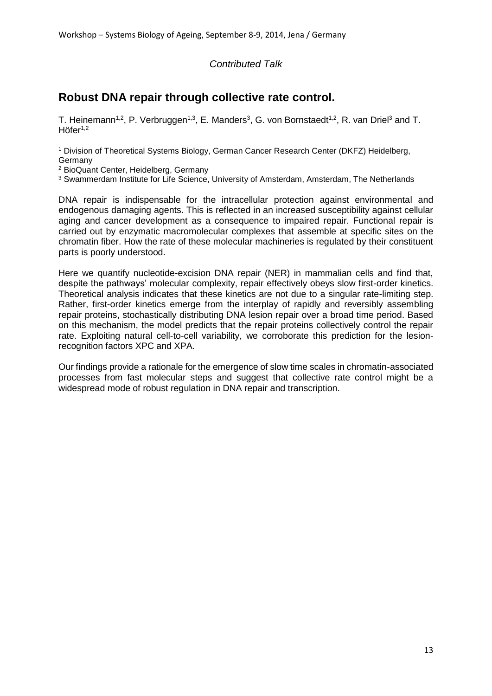## **Robust DNA repair through collective rate control.**

T. Heinemann<sup>1,2</sup>, P. Verbruggen<sup>1,3</sup>, E. Manders<sup>3</sup>, G. von Bornstaedt<sup>1,2</sup>, R. van Driel<sup>3</sup> and T.  $Höfer<sup>1,2</sup>$ 

<sup>1</sup> Division of Theoretical Systems Biology, German Cancer Research Center (DKFZ) Heidelberg, Germany

<sup>2</sup> BioQuant Center, Heidelberg, Germany

<sup>3</sup> Swammerdam Institute for Life Science, University of Amsterdam, Amsterdam, The Netherlands

DNA repair is indispensable for the intracellular protection against environmental and endogenous damaging agents. This is reflected in an increased susceptibility against cellular aging and cancer development as a consequence to impaired repair. Functional repair is carried out by enzymatic macromolecular complexes that assemble at specific sites on the chromatin fiber. How the rate of these molecular machineries is regulated by their constituent parts is poorly understood.

Here we quantify nucleotide-excision DNA repair (NER) in mammalian cells and find that, despite the pathways' molecular complexity, repair effectively obeys slow first-order kinetics. Theoretical analysis indicates that these kinetics are not due to a singular rate-limiting step. Rather, first-order kinetics emerge from the interplay of rapidly and reversibly assembling repair proteins, stochastically distributing DNA lesion repair over a broad time period. Based on this mechanism, the model predicts that the repair proteins collectively control the repair rate. Exploiting natural cell-to-cell variability, we corroborate this prediction for the lesionrecognition factors XPC and XPA.

Our findings provide a rationale for the emergence of slow time scales in chromatin-associated processes from fast molecular steps and suggest that collective rate control might be a widespread mode of robust regulation in DNA repair and transcription.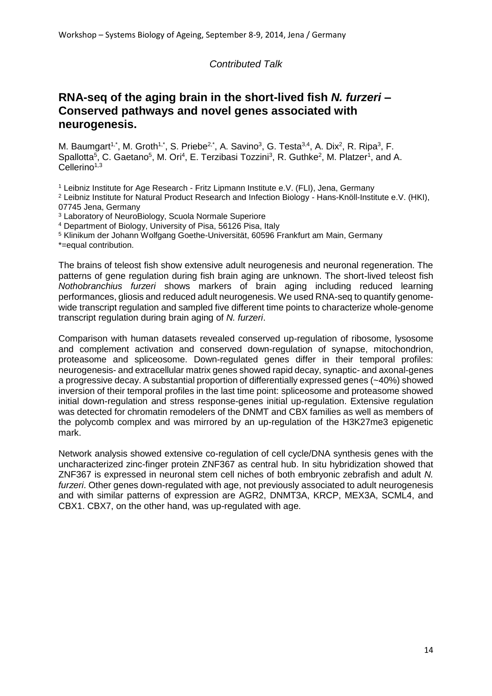## **RNA-seq of the aging brain in the short-lived fish** *N. furzeri* **– Conserved pathways and novel genes associated with neurogenesis.**

M. Baumgart<sup>1,\*</sup>, M. Groth<sup>1,\*</sup>, S. Priebe<sup>2,\*</sup>, A. Savino<sup>3</sup>, G. Testa<sup>3,4</sup>, A. Dix<sup>2</sup>, R. Ripa<sup>3</sup>, F. Spallotta<sup>5</sup>, C. Gaetano<sup>5</sup>, M. Ori<sup>4</sup>, E. Terzibasi Tozzini<sup>3</sup>, R. Guthke<sup>2</sup>, M. Platzer<sup>1</sup>, and A.  $Cellerino<sup>1,3</sup>$ 

<sup>1</sup> Leibniz Institute for Age Research - Fritz Lipmann Institute e.V. (FLI), Jena, Germany

<sup>2</sup> Leibniz Institute for Natural Product Research and Infection Biology - Hans-Knöll-Institute e.V. (HKI), 07745 Jena, Germany

<sup>3</sup> Laboratory of NeuroBiology, Scuola Normale Superiore

<sup>4</sup> Department of Biology, University of Pisa, 56126 Pisa, Italy

<sup>5</sup> Klinikum der Johann Wolfgang Goethe-Universität, 60596 Frankfurt am Main, Germany

\*=equal contribution.

The brains of teleost fish show extensive adult neurogenesis and neuronal regeneration. The patterns of gene regulation during fish brain aging are unknown. The short-lived teleost fish *Nothobranchius furzeri* shows markers of brain aging including reduced learning performances, gliosis and reduced adult neurogenesis. We used RNA-seq to quantify genomewide transcript regulation and sampled five different time points to characterize whole-genome transcript regulation during brain aging of *N. furzeri*.

Comparison with human datasets revealed conserved up-regulation of ribosome, lysosome and complement activation and conserved down-regulation of synapse, mitochondrion, proteasome and spliceosome. Down-regulated genes differ in their temporal profiles: neurogenesis- and extracellular matrix genes showed rapid decay, synaptic- and axonal-genes a progressive decay. A substantial proportion of differentially expressed genes (~40%) showed inversion of their temporal profiles in the last time point: spliceosome and proteasome showed initial down-regulation and stress response-genes initial up-regulation. Extensive regulation was detected for chromatin remodelers of the DNMT and CBX families as well as members of the polycomb complex and was mirrored by an up-regulation of the H3K27me3 epigenetic mark.

Network analysis showed extensive co-regulation of cell cycle/DNA synthesis genes with the uncharacterized zinc-finger protein ZNF367 as central hub. In situ hybridization showed that ZNF367 is expressed in neuronal stem cell niches of both embryonic zebrafish and adult *N. furzeri*. Other genes down-regulated with age, not previously associated to adult neurogenesis and with similar patterns of expression are AGR2, DNMT3A, KRCP, MEX3A, SCML4, and CBX1. CBX7, on the other hand, was up-regulated with age.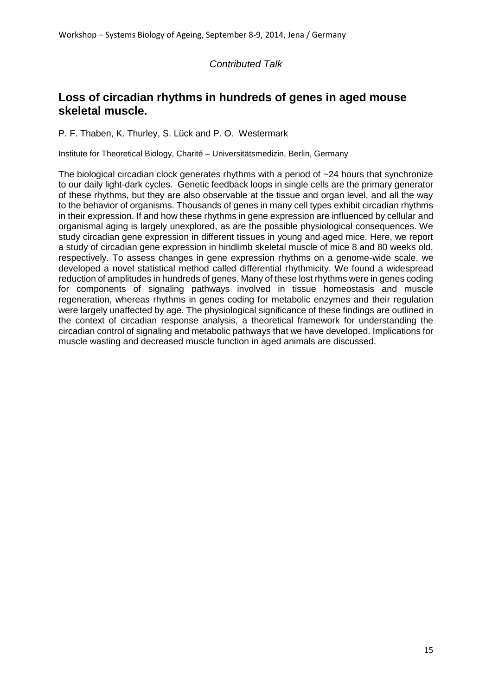## **Loss of circadian rhythms in hundreds of genes in aged mouse skeletal muscle.**

P. F. Thaben, K. Thurley, S. Lück and P. O. Westermark

Institute for Theoretical Biology, Charité – Universitätsmedizin, Berlin, Germany

The biological circadian clock generates rhythms with a period of  $\sim$  24 hours that synchronize to our daily light-dark cycles. Genetic feedback loops in single cells are the primary generator of these rhythms, but they are also observable at the tissue and organ level, and all the way to the behavior of organisms. Thousands of genes in many cell types exhibit circadian rhythms in their expression. If and how these rhythms in gene expression are influenced by cellular and organismal aging is largely unexplored, as are the possible physiological consequences. We study circadian gene expression in different tissues in young and aged mice. Here, we report a study of circadian gene expression in hindlimb skeletal muscle of mice 8 and 80 weeks old, respectively. To assess changes in gene expression rhythms on a genome-wide scale, we developed a novel statistical method called differential rhythmicity. We found a widespread reduction of amplitudes in hundreds of genes. Many of these lost rhythms were in genes coding for components of signaling pathways involved in tissue homeostasis and muscle regeneration, whereas rhythms in genes coding for metabolic enzymes and their regulation were largely unaffected by age. The physiological significance of these findings are outlined in the context of circadian response analysis, a theoretical framework for understanding the circadian control of signaling and metabolic pathways that we have developed. Implications for muscle wasting and decreased muscle function in aged animals are discussed.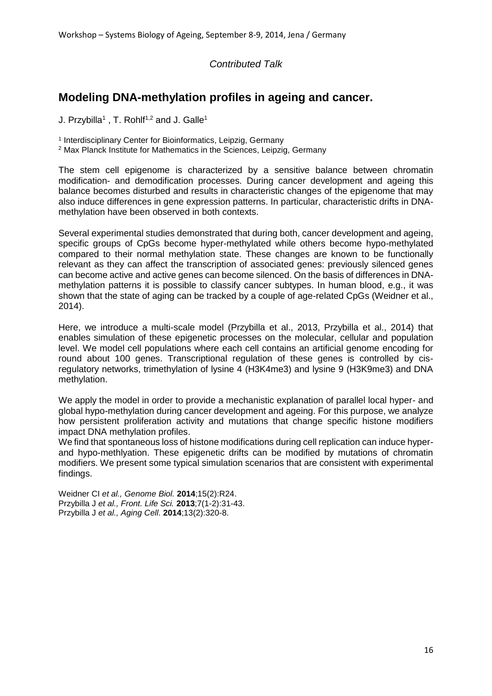## **Modeling DNA-methylation profiles in ageing and cancer.**

J. Przybilla<sup>1</sup>, T. Rohlf<sup>1,2</sup> and J. Galle<sup>1</sup>

<sup>1</sup> Interdisciplinary Center for Bioinformatics, Leipzig, Germany

<sup>2</sup> Max Planck Institute for Mathematics in the Sciences, Leipzig, Germany

The stem cell epigenome is characterized by a sensitive balance between chromatin modification- and demodification processes. During cancer development and ageing this balance becomes disturbed and results in characteristic changes of the epigenome that may also induce differences in gene expression patterns. In particular, characteristic drifts in DNAmethylation have been observed in both contexts.

Several experimental studies demonstrated that during both, cancer development and ageing, specific groups of CpGs become hyper-methylated while others become hypo-methylated compared to their normal methylation state. These changes are known to be functionally relevant as they can affect the transcription of associated genes: previously silenced genes can become active and active genes can become silenced. On the basis of differences in DNAmethylation patterns it is possible to classify cancer subtypes. In human blood, e.g., it was shown that the state of aging can be tracked by a couple of age-related CpGs (Weidner et al., 2014).

Here, we introduce a multi-scale model (Przybilla et al., 2013, Przybilla et al., 2014) that enables simulation of these epigenetic processes on the molecular, cellular and population level. We model cell populations where each cell contains an artificial genome encoding for round about 100 genes. Transcriptional regulation of these genes is controlled by cisregulatory networks, trimethylation of lysine 4 (H3K4me3) and lysine 9 (H3K9me3) and DNA methylation.

We apply the model in order to provide a mechanistic explanation of parallel local hyper- and global hypo-methylation during cancer development and ageing. For this purpose, we analyze how persistent proliferation activity and mutations that change specific histone modifiers impact DNA methylation profiles.

We find that spontaneous loss of histone modifications during cell replication can induce hyperand hypo-methlyation. These epigenetic drifts can be modified by mutations of chromatin modifiers. We present some typical simulation scenarios that are consistent with experimental findings.

Weidner CI *et al., Genome Biol.* **2014**;15(2):R24. Przybilla J *et al., Front. Life Sci.* **2013**;7(1-2):31-43. Przybilla J *et al., Aging Cell.* **2014**;13(2):320-8.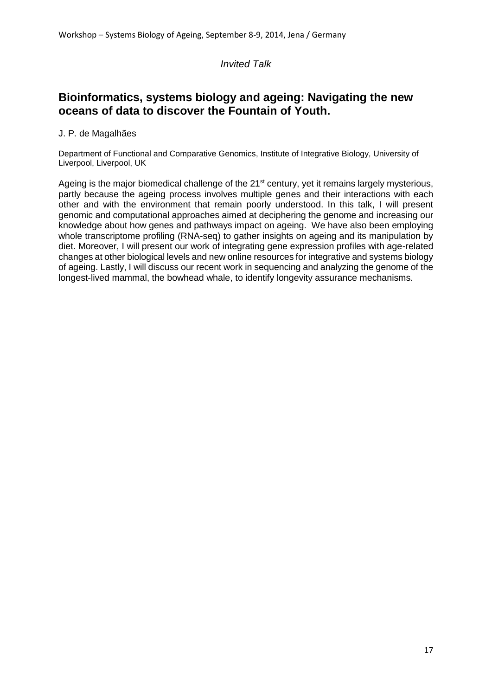#### *Invited Talk*

## **Bioinformatics, systems biology and ageing: Navigating the new oceans of data to discover the Fountain of Youth.**

#### J. P. de Magalhães

Department of Functional and Comparative Genomics, Institute of Integrative Biology, University of Liverpool, Liverpool, UK

Ageing is the major biomedical challenge of the 21<sup>st</sup> century, yet it remains largely mysterious, partly because the ageing process involves multiple genes and their interactions with each other and with the environment that remain poorly understood. In this talk, I will present genomic and computational approaches aimed at deciphering the genome and increasing our knowledge about how genes and pathways impact on ageing. We have also been employing whole transcriptome profiling (RNA-seq) to gather insights on ageing and its manipulation by diet. Moreover, I will present our work of integrating gene expression profiles with age-related changes at other biological levels and new online resources for integrative and systems biology of ageing. Lastly, I will discuss our recent work in sequencing and analyzing the genome of the longest-lived mammal, the bowhead whale, to identify longevity assurance mechanisms.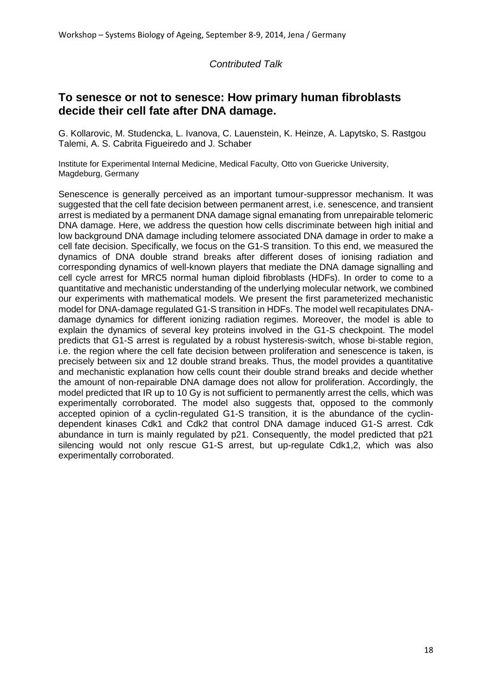## **To senesce or not to senesce: How primary human fibroblasts decide their cell fate after DNA damage.**

G. Kollarovic, M. Studencka, L. Ivanova, C. Lauenstein, K. Heinze, A. Lapytsko, S. Rastgou Talemi, A. S. Cabrita Figueiredo and J. Schaber

Institute for Experimental Internal Medicine, Medical Faculty, Otto von Guericke University, Magdeburg, Germany

Senescence is generally perceived as an important tumour-suppressor mechanism. It was suggested that the cell fate decision between permanent arrest, i.e. senescence, and transient arrest is mediated by a permanent DNA damage signal emanating from unrepairable telomeric DNA damage. Here, we address the question how cells discriminate between high initial and low background DNA damage including telomere associated DNA damage in order to make a cell fate decision. Specifically, we focus on the G1-S transition. To this end, we measured the dynamics of DNA double strand breaks after different doses of ionising radiation and corresponding dynamics of well-known players that mediate the DNA damage signalling and cell cycle arrest for MRC5 normal human diploid fibroblasts (HDFs). In order to come to a quantitative and mechanistic understanding of the underlying molecular network, we combined our experiments with mathematical models. We present the first parameterized mechanistic model for DNA-damage regulated G1-S transition in HDFs. The model well recapitulates DNAdamage dynamics for different ionizing radiation regimes. Moreover, the model is able to explain the dynamics of several key proteins involved in the G1-S checkpoint. The model predicts that G1-S arrest is regulated by a robust hysteresis-switch, whose bi-stable region, i.e. the region where the cell fate decision between proliferation and senescence is taken, is precisely between six and 12 double strand breaks. Thus, the model provides a quantitative and mechanistic explanation how cells count their double strand breaks and decide whether the amount of non-repairable DNA damage does not allow for proliferation. Accordingly, the model predicted that IR up to 10 Gy is not sufficient to permanently arrest the cells, which was experimentally corroborated. The model also suggests that, opposed to the commonly accepted opinion of a cyclin-regulated G1-S transition, it is the abundance of the cyclindependent kinases Cdk1 and Cdk2 that control DNA damage induced G1-S arrest. Cdk abundance in turn is mainly regulated by p21. Consequently, the model predicted that p21 silencing would not only rescue G1-S arrest, but up-regulate Cdk1,2, which was also experimentally corroborated.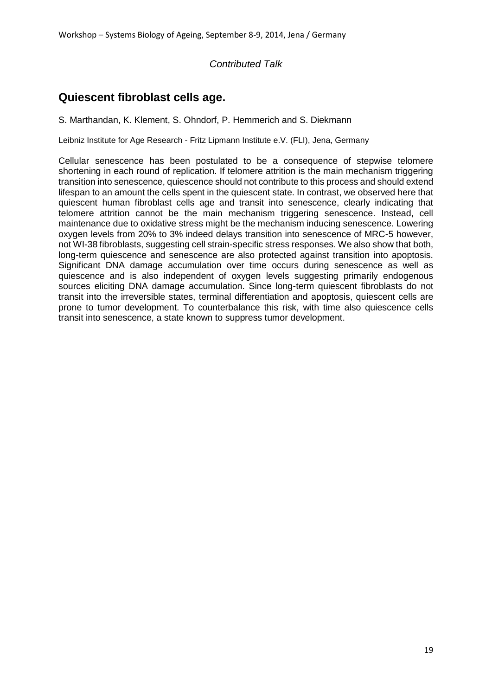## **Quiescent fibroblast cells age.**

S. Marthandan, K. Klement, S. Ohndorf, P. Hemmerich and S. Diekmann

Leibniz Institute for Age Research - Fritz Lipmann Institute e.V. (FLI), Jena, Germany

Cellular senescence has been postulated to be a consequence of stepwise telomere shortening in each round of replication. If telomere attrition is the main mechanism triggering transition into senescence, quiescence should not contribute to this process and should extend lifespan to an amount the cells spent in the quiescent state. In contrast, we observed here that quiescent human fibroblast cells age and transit into senescence, clearly indicating that telomere attrition cannot be the main mechanism triggering senescence. Instead, cell maintenance due to oxidative stress might be the mechanism inducing senescence. Lowering oxygen levels from 20% to 3% indeed delays transition into senescence of MRC-5 however, not WI-38 fibroblasts, suggesting cell strain-specific stress responses. We also show that both, long-term quiescence and senescence are also protected against transition into apoptosis. Significant DNA damage accumulation over time occurs during senescence as well as quiescence and is also independent of oxygen levels suggesting primarily endogenous sources eliciting DNA damage accumulation. Since long-term quiescent fibroblasts do not transit into the irreversible states, terminal differentiation and apoptosis, quiescent cells are prone to tumor development. To counterbalance this risk, with time also quiescence cells transit into senescence, a state known to suppress tumor development.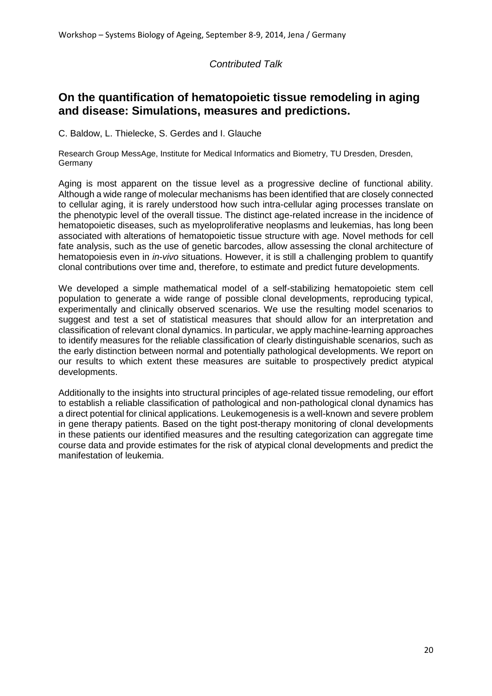## **On the quantification of hematopoietic tissue remodeling in aging and disease: Simulations, measures and predictions.**

C. Baldow, L. Thielecke, S. Gerdes and I. Glauche

Research Group MessAge, Institute for Medical Informatics and Biometry, TU Dresden, Dresden, Germany

Aging is most apparent on the tissue level as a progressive decline of functional ability. Although a wide range of molecular mechanisms has been identified that are closely connected to cellular aging, it is rarely understood how such intra-cellular aging processes translate on the phenotypic level of the overall tissue. The distinct age-related increase in the incidence of hematopoietic diseases, such as myeloproliferative neoplasms and leukemias, has long been associated with alterations of hematopoietic tissue structure with age. Novel methods for cell fate analysis, such as the use of genetic barcodes, allow assessing the clonal architecture of hematopoiesis even in *in-vivo* situations. However, it is still a challenging problem to quantify clonal contributions over time and, therefore, to estimate and predict future developments.

We developed a simple mathematical model of a self-stabilizing hematopoietic stem cell population to generate a wide range of possible clonal developments, reproducing typical, experimentally and clinically observed scenarios. We use the resulting model scenarios to suggest and test a set of statistical measures that should allow for an interpretation and classification of relevant clonal dynamics. In particular, we apply machine-learning approaches to identify measures for the reliable classification of clearly distinguishable scenarios, such as the early distinction between normal and potentially pathological developments. We report on our results to which extent these measures are suitable to prospectively predict atypical developments.

Additionally to the insights into structural principles of age-related tissue remodeling, our effort to establish a reliable classification of pathological and non-pathological clonal dynamics has a direct potential for clinical applications. Leukemogenesis is a well-known and severe problem in gene therapy patients. Based on the tight post-therapy monitoring of clonal developments in these patients our identified measures and the resulting categorization can aggregate time course data and provide estimates for the risk of atypical clonal developments and predict the manifestation of leukemia.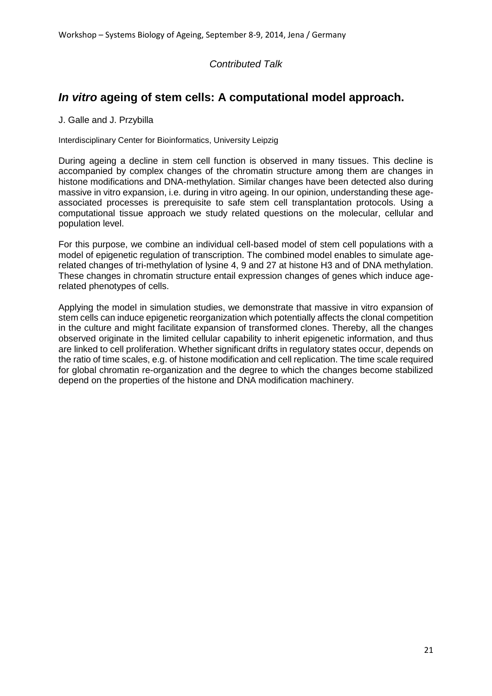## *In vitro* **ageing of stem cells: A computational model approach.**

J. Galle and J. Przybilla

Interdisciplinary Center for Bioinformatics, University Leipzig

During ageing a decline in stem cell function is observed in many tissues. This decline is accompanied by complex changes of the chromatin structure among them are changes in histone modifications and DNA-methylation. Similar changes have been detected also during massive in vitro expansion, i.e. during in vitro ageing. In our opinion, understanding these ageassociated processes is prerequisite to safe stem cell transplantation protocols. Using a computational tissue approach we study related questions on the molecular, cellular and population level.

For this purpose, we combine an individual cell-based model of stem cell populations with a model of epigenetic regulation of transcription. The combined model enables to simulate agerelated changes of tri-methylation of lysine 4, 9 and 27 at histone H3 and of DNA methylation. These changes in chromatin structure entail expression changes of genes which induce agerelated phenotypes of cells.

Applying the model in simulation studies, we demonstrate that massive in vitro expansion of stem cells can induce epigenetic reorganization which potentially affects the clonal competition in the culture and might facilitate expansion of transformed clones. Thereby, all the changes observed originate in the limited cellular capability to inherit epigenetic information, and thus are linked to cell proliferation. Whether significant drifts in regulatory states occur, depends on the ratio of time scales, e.g. of histone modification and cell replication. The time scale required for global chromatin re-organization and the degree to which the changes become stabilized depend on the properties of the histone and DNA modification machinery.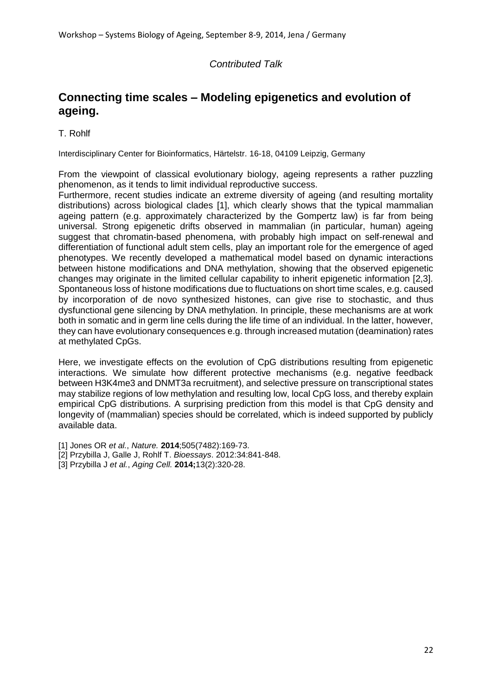## **Connecting time scales – Modeling epigenetics and evolution of ageing.**

T. Rohlf

Interdisciplinary Center for Bioinformatics, Härtelstr. 16-18, 04109 Leipzig, Germany

From the viewpoint of classical evolutionary biology, ageing represents a rather puzzling phenomenon, as it tends to limit individual reproductive success.

Furthermore, recent studies indicate an extreme diversity of ageing (and resulting mortality distributions) across biological clades [1], which clearly shows that the typical mammalian ageing pattern (e.g. approximately characterized by the Gompertz law) is far from being universal. Strong epigenetic drifts observed in mammalian (in particular, human) ageing suggest that chromatin-based phenomena, with probably high impact on self-renewal and differentiation of functional adult stem cells, play an important role for the emergence of aged phenotypes. We recently developed a mathematical model based on dynamic interactions between histone modifications and DNA methylation, showing that the observed epigenetic changes may originate in the limited cellular capability to inherit epigenetic information [2,3]. Spontaneous loss of histone modifications due to fluctuations on short time scales, e.g. caused by incorporation of de novo synthesized histones, can give rise to stochastic, and thus dysfunctional gene silencing by DNA methylation. In principle, these mechanisms are at work both in somatic and in germ line cells during the life time of an individual. In the latter, however, they can have evolutionary consequences e.g. through increased mutation (deamination) rates at methylated CpGs.

Here, we investigate effects on the evolution of CpG distributions resulting from epigenetic interactions. We simulate how different protective mechanisms (e.g. negative feedback between H3K4me3 and DNMT3a recruitment), and selective pressure on transcriptional states may stabilize regions of low methylation and resulting low, local CpG loss, and thereby explain empirical CpG distributions. A surprising prediction from this model is that CpG density and longevity of (mammalian) species should be correlated, which is indeed supported by publicly available data.

[1] Jones OR *et al.*, *Nature.* **2014**;505(7482):169-73.

- [2] Przybilla J, Galle J, Rohlf T. *Bioessays*. 2012:34:841-848.
- [3] Przybilla J *et al.*, *Aging Cell.* **2014;**13(2):320-28.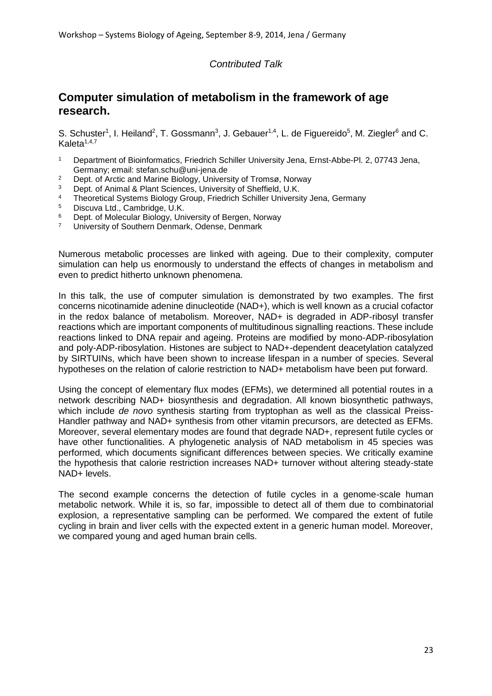## **Computer simulation of metabolism in the framework of age research.**

S. Schuster<sup>1</sup>, I. Heiland<sup>2</sup>, T. Gossmann<sup>3</sup>, J. Gebauer<sup>1,4</sup>, L. de Figuereido<sup>5</sup>, M. Ziegler<sup>6</sup> and C. Kaleta $1,4,7$ 

- <sup>1</sup> Department of Bioinformatics, Friedrich Schiller University Jena, Ernst-Abbe-Pl. 2, 07743 Jena, Germany; email: stefan.schu@uni-jena.de
- <sup>2</sup> Dept. of Arctic and Marine Biology, University of Tromsø, Norway
- Dept. of Animal & Plant Sciences, University of Sheffield, U.K.
- <sup>4</sup> Theoretical Systems Biology Group, Friedrich Schiller University Jena, Germany
- $5$  Discuva Ltd., Cambridge, U.K.
- <sup>6</sup> Dept. of Molecular Biology, University of Bergen, Norway
- <sup>7</sup> University of Southern Denmark, Odense, Denmark

Numerous metabolic processes are linked with ageing. Due to their complexity, computer simulation can help us enormously to understand the effects of changes in metabolism and even to predict hitherto unknown phenomena.

In this talk, the use of computer simulation is demonstrated by two examples. The first concerns nicotinamide adenine dinucleotide (NAD+), which is well known as a crucial cofactor in the redox balance of metabolism. Moreover, NAD+ is degraded in ADP-ribosyl transfer reactions which are important components of multitudinous signalling reactions. These include reactions linked to DNA repair and ageing. Proteins are modified by mono-ADP-ribosylation and poly-ADP-ribosylation. Histones are subject to NAD+-dependent deacetylation catalyzed by SIRTUINs, which have been shown to increase lifespan in a number of species. Several hypotheses on the relation of calorie restriction to NAD+ metabolism have been put forward.

Using the concept of elementary flux modes (EFMs), we determined all potential routes in a network describing NAD+ biosynthesis and degradation. All known biosynthetic pathways, which include *de novo* synthesis starting from tryptophan as well as the classical Preiss-Handler pathway and NAD+ synthesis from other vitamin precursors, are detected as EFMs. Moreover, several elementary modes are found that degrade NAD+, represent futile cycles or have other functionalities. A phylogenetic analysis of NAD metabolism in 45 species was performed, which documents significant differences between species. We critically examine the hypothesis that calorie restriction increases NAD+ turnover without altering steady-state NAD+ levels.

The second example concerns the detection of futile cycles in a genome-scale human metabolic network. While it is, so far, impossible to detect all of them due to combinatorial explosion, a representative sampling can be performed. We compared the extent of futile cycling in brain and liver cells with the expected extent in a generic human model. Moreover, we compared young and aged human brain cells.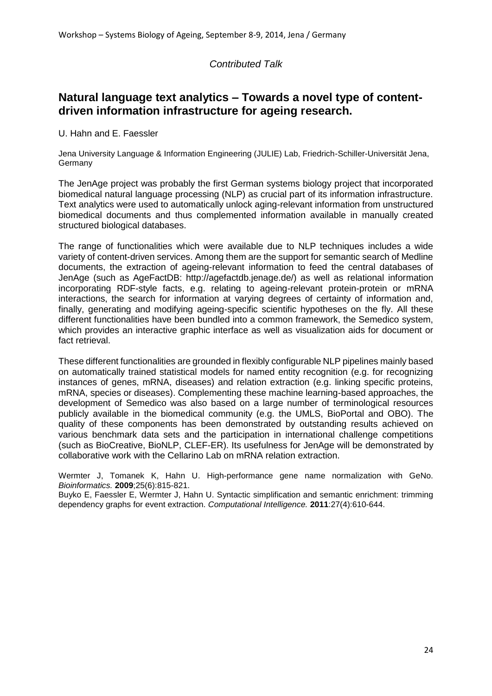## **Natural language text analytics – Towards a novel type of contentdriven information infrastructure for ageing research.**

U. Hahn and E. Faessler

Jena University Language & Information Engineering (JULIE) Lab, Friedrich-Schiller-Universität Jena, Germany

The JenAge project was probably the first German systems biology project that incorporated biomedical natural language processing (NLP) as crucial part of its information infrastructure. Text analytics were used to automatically unlock aging-relevant information from unstructured biomedical documents and thus complemented information available in manually created structured biological databases.

The range of functionalities which were available due to NLP techniques includes a wide variety of content-driven services. Among them are the support for semantic search of Medline documents, the extraction of ageing-relevant information to feed the central databases of JenAge (such as AgeFactDB: http://agefactdb.jenage.de/) as well as relational information incorporating RDF-style facts, e.g. relating to ageing-relevant protein-protein or mRNA interactions, the search for information at varying degrees of certainty of information and, finally, generating and modifying ageing-specific scientific hypotheses on the fly. All these different functionalities have been bundled into a common framework, the Semedico system, which provides an interactive graphic interface as well as visualization aids for document or fact retrieval.

These different functionalities are grounded in flexibly configurable NLP pipelines mainly based on automatically trained statistical models for named entity recognition (e.g. for recognizing instances of genes, mRNA, diseases) and relation extraction (e.g. linking specific proteins, mRNA, species or diseases). Complementing these machine learning-based approaches, the development of Semedico was also based on a large number of terminological resources publicly available in the biomedical community (e.g. the UMLS, BioPortal and OBO). The quality of these components has been demonstrated by outstanding results achieved on various benchmark data sets and the participation in international challenge competitions (such as BioCreative, BioNLP, CLEF-ER). Its usefulness for JenAge will be demonstrated by collaborative work with the Cellarino Lab on mRNA relation extraction.

Wermter J, Tomanek K, Hahn U. High-performance gene name normalization with GeNo. *Bioinformatics.* **2009**;25(6):815-821.

Buyko E, Faessler E, Wermter J, Hahn U. Syntactic simplification and semantic enrichment: trimming dependency graphs for event extraction. *Computational Intelligence.* **2011**:27(4):610-644.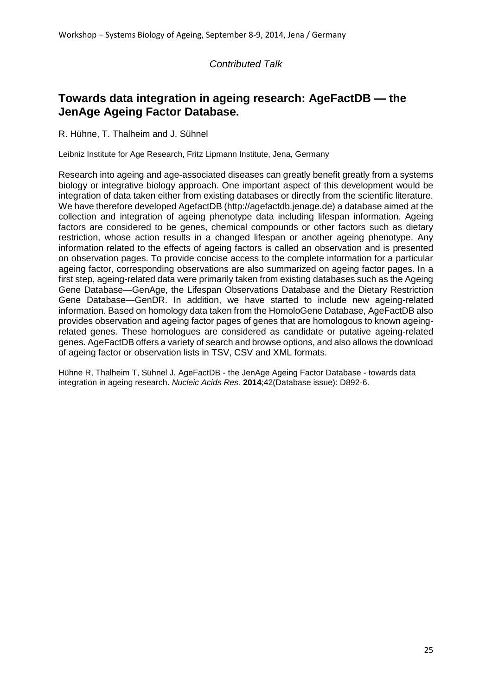## **Towards data integration in ageing research: AgeFactDB — the JenAge Ageing Factor Database.**

R. Hühne, T. Thalheim and J. Sühnel

Leibniz Institute for Age Research, Fritz Lipmann Institute, Jena, Germany

Research into ageing and age-associated diseases can greatly benefit greatly from a systems biology or integrative biology approach. One important aspect of this development would be integration of data taken either from existing databases or directly from the scientific literature. We have therefore developed AgefactDB (http://agefactdb.jenage.de) a database aimed at the collection and integration of ageing phenotype data including lifespan information. Ageing factors are considered to be genes, chemical compounds or other factors such as dietary restriction, whose action results in a changed lifespan or another ageing phenotype. Any information related to the effects of ageing factors is called an observation and is presented on observation pages. To provide concise access to the complete information for a particular ageing factor, corresponding observations are also summarized on ageing factor pages. In a first step, ageing-related data were primarily taken from existing databases such as the Ageing Gene Database—GenAge, the Lifespan Observations Database and the Dietary Restriction Gene Database—GenDR. In addition, we have started to include new ageing-related information. Based on homology data taken from the HomoloGene Database, AgeFactDB also provides observation and ageing factor pages of genes that are homologous to known ageingrelated genes. These homologues are considered as candidate or putative ageing-related genes. AgeFactDB offers a variety of search and browse options, and also allows the download of ageing factor or observation lists in TSV, CSV and XML formats.

Hühne R, Thalheim T, Sühnel J. AgeFactDB - the JenAge Ageing Factor Database - towards data integration in ageing research. *Nucleic Acids Res.* **2014**;42(Database issue): D892-6.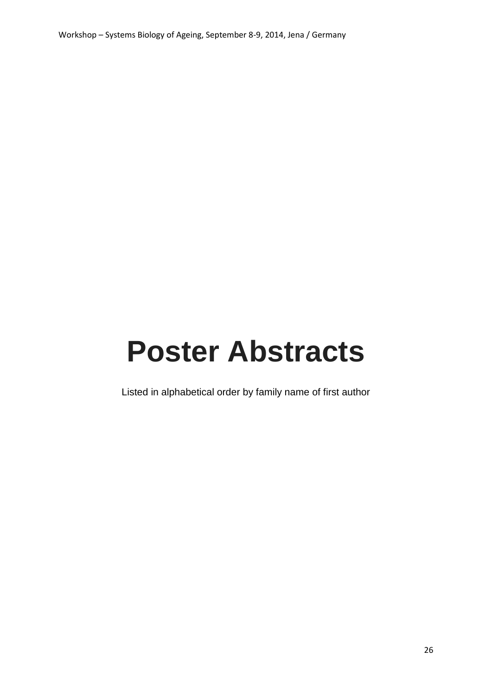# **Poster Abstracts**

Listed in alphabetical order by family name of first author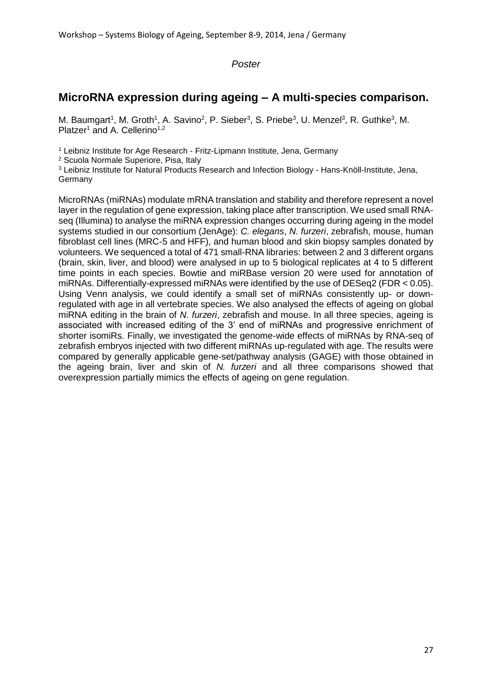## **MicroRNA expression during ageing – A multi-species comparison.**

M. Baumgart<sup>1</sup>, M. Groth<sup>1</sup>, A. Savino<sup>2</sup>, P. Sieber<sup>3</sup>, S. Priebe<sup>3</sup>, U. Menzel<sup>3</sup>, R. Guthke<sup>3</sup>, M. Platzer<sup>1</sup> and A. Cellerino<sup>1,2</sup>

<sup>1</sup> Leibniz Institute for Age Research - Fritz-Lipmann Institute, Jena, Germany

<sup>2</sup> Scuola Normale Superiore, Pisa, Italy

<sup>3</sup> Leibniz Institute for Natural Products Research and Infection Biology - Hans-Knöll-Institute, Jena, Germany

MicroRNAs (miRNAs) modulate mRNA translation and stability and therefore represent a novel layer in the regulation of gene expression, taking place after transcription. We used small RNAseq (Illumina) to analyse the miRNA expression changes occurring during ageing in the model systems studied in our consortium (JenAge): *C. elegans*, *N. furzeri*, zebrafish, mouse, human fibroblast cell lines (MRC-5 and HFF), and human blood and skin biopsy samples donated by volunteers. We sequenced a total of 471 small-RNA libraries: between 2 and 3 different organs (brain, skin, liver, and blood) were analysed in up to 5 biological replicates at 4 to 5 different time points in each species. Bowtie and miRBase version 20 were used for annotation of miRNAs. Differentially-expressed miRNAs were identified by the use of DESeq2 (FDR < 0.05). Using Venn analysis, we could identify a small set of miRNAs consistently up- or downregulated with age in all vertebrate species. We also analysed the effects of ageing on global miRNA editing in the brain of *N. furzeri*, zebrafish and mouse. In all three species, ageing is associated with increased editing of the 3' end of miRNAs and progressive enrichment of shorter isomiRs. Finally, we investigated the genome-wide effects of miRNAs by RNA-seq of zebrafish embryos injected with two different miRNAs up-regulated with age. The results were compared by generally applicable gene-set/pathway analysis (GAGE) with those obtained in the ageing brain, liver and skin of *N. furzeri* and all three comparisons showed that overexpression partially mimics the effects of ageing on gene regulation.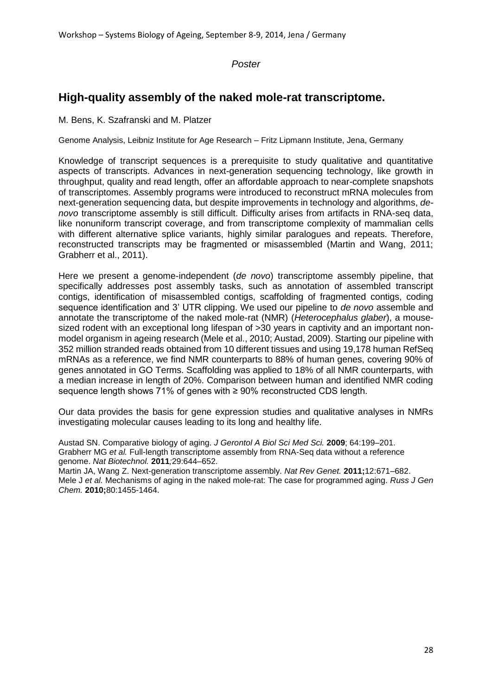## **High-quality assembly of the naked mole-rat transcriptome.**

M. Bens, K. Szafranski and M. Platzer

Genome Analysis, Leibniz Institute for Age Research – Fritz Lipmann Institute, Jena, Germany

Knowledge of transcript sequences is a prerequisite to study qualitative and quantitative aspects of transcripts. Advances in next-generation sequencing technology, like growth in throughput, quality and read length, offer an affordable approach to near-complete snapshots of transcriptomes. Assembly programs were introduced to reconstruct mRNA molecules from next-generation sequencing data, but despite improvements in technology and algorithms, *denovo* transcriptome assembly is still difficult. Difficulty arises from artifacts in RNA-seq data, like nonuniform transcript coverage, and from transcriptome complexity of mammalian cells with different alternative splice variants, highly similar paralogues and repeats. Therefore, reconstructed transcripts may be fragmented or misassembled (Martin and Wang, 2011; Grabherr et al., 2011).

Here we present a genome-independent (*de novo*) transcriptome assembly pipeline, that specifically addresses post assembly tasks, such as annotation of assembled transcript contigs, identification of misassembled contigs, scaffolding of fragmented contigs, coding sequence identification and 3' UTR clipping. We used our pipeline to *de novo* assemble and annotate the transcriptome of the naked mole-rat (NMR) (*Heterocephalus glaber*), a mousesized rodent with an exceptional long lifespan of >30 years in captivity and an important nonmodel organism in ageing research (Mele et al., 2010; Austad, 2009). Starting our pipeline with 352 million stranded reads obtained from 10 different tissues and using 19,178 human RefSeq mRNAs as a reference, we find NMR counterparts to 88% of human genes, covering 90% of genes annotated in GO Terms. Scaffolding was applied to 18% of all NMR counterparts, with a median increase in length of 20%. Comparison between human and identified NMR coding sequence length shows 71% of genes with ≥ 90% reconstructed CDS length.

Our data provides the basis for gene expression studies and qualitative analyses in NMRs investigating molecular causes leading to its long and healthy life.

Austad SN. Comparative biology of aging. *J Gerontol A Biol Sci Med Sci.* **2009**; 64:199–201. Grabherr MG *et al.* Full-length transcriptome assembly from RNA-Seq data without a reference genome. *Nat Biotechnol.* **2011***;*29:644–652.

Martin JA, Wang Z. Next-generation transcriptome assembly. *Nat Rev Genet.* **2011;**12:671–682. Mele J *et al.* Mechanisms of aging in the naked mole-rat: The case for programmed aging. *Russ J Gen Chem.* **2010;**80:1455-1464.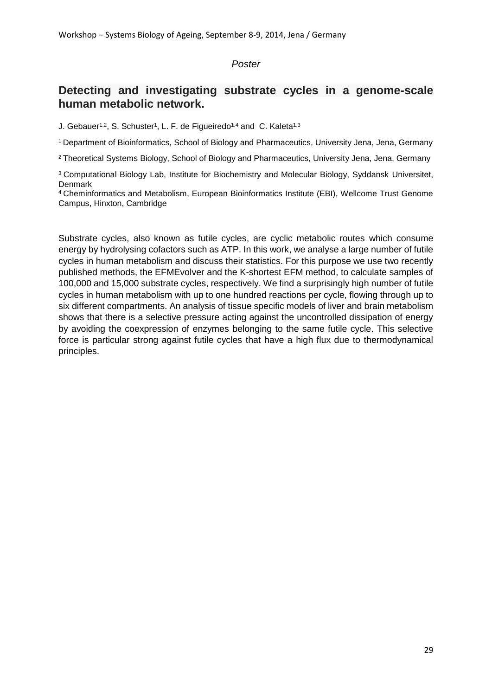## **Detecting and investigating substrate cycles in a genome-scale human metabolic network.**

J. Gebauer<sup>1,2</sup>, S. Schuster<sup>1</sup>, L. F. de Figueiredo<sup>1,4</sup> and C. Kaleta<sup>1,3</sup>

<sup>1</sup>Department of Bioinformatics, School of Biology and Pharmaceutics, University Jena, Jena, Germany

<sup>2</sup>Theoretical Systems Biology, School of Biology and Pharmaceutics, University Jena, Jena, Germany

<sup>3</sup>Computational Biology Lab, Institute for Biochemistry and Molecular Biology, Syddansk Universitet, **Denmark** 

<sup>4</sup>Cheminformatics and Metabolism, European Bioinformatics Institute (EBI), Wellcome Trust Genome Campus, Hinxton, Cambridge

Substrate cycles, also known as futile cycles, are cyclic metabolic routes which consume energy by hydrolysing cofactors such as ATP. In this work, we analyse a large number of futile cycles in human metabolism and discuss their statistics. For this purpose we use two recently published methods, the EFMEvolver and the K-shortest EFM method, to calculate samples of 100,000 and 15,000 substrate cycles, respectively. We find a surprisingly high number of futile cycles in human metabolism with up to one hundred reactions per cycle, flowing through up to six different compartments. An analysis of tissue specific models of liver and brain metabolism shows that there is a selective pressure acting against the uncontrolled dissipation of energy by avoiding the coexpression of enzymes belonging to the same futile cycle. This selective force is particular strong against futile cycles that have a high flux due to thermodynamical principles.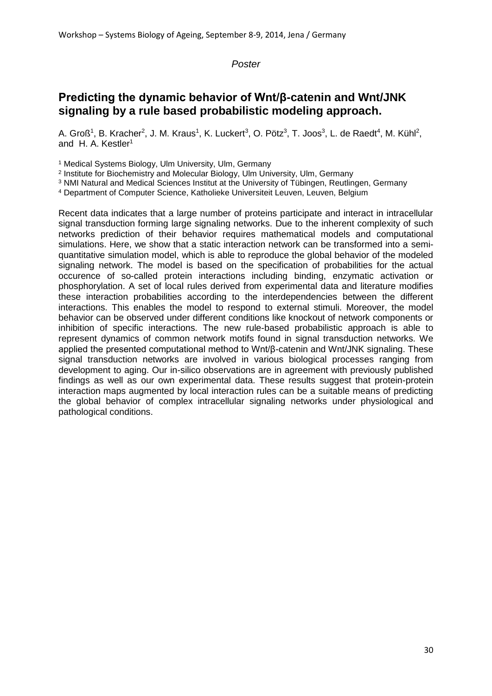## **Predicting the dynamic behavior of Wnt/β-catenin and Wnt/JNK signaling by a rule based probabilistic modeling approach.**

A. Groß<sup>1</sup>, B. Kracher<sup>2</sup>, J. M. Kraus<sup>1</sup>, K. Luckert<sup>3</sup>, O. Pötz<sup>3</sup>, T. Joos<sup>3</sup>, L. de Raedt<sup>4</sup>, M. Kühl<sup>2</sup>, and H. A. Kestler<sup>1</sup>

<sup>1</sup> Medical Systems Biology, Ulm University, Ulm, Germany

2 Institute for Biochemistry and Molecular Biology, Ulm University, Ulm, Germany

<sup>3</sup> NMI Natural and Medical Sciences Institut at the University of Tübingen, Reutlingen, Germany

<sup>4</sup> Department of Computer Science, Katholieke Universiteit Leuven, Leuven, Belgium

Recent data indicates that a large number of proteins participate and interact in intracellular signal transduction forming large signaling networks. Due to the inherent complexity of such networks prediction of their behavior requires mathematical models and computational simulations. Here, we show that a static interaction network can be transformed into a semiquantitative simulation model, which is able to reproduce the global behavior of the modeled signaling network. The model is based on the specification of probabilities for the actual occurence of so-called protein interactions including binding, enzymatic activation or phosphorylation. A set of local rules derived from experimental data and literature modifies these interaction probabilities according to the interdependencies between the different interactions. This enables the model to respond to external stimuli. Moreover, the model behavior can be observed under different conditions like knockout of network components or inhibition of specific interactions. The new rule-based probabilistic approach is able to represent dynamics of common network motifs found in signal transduction networks. We applied the presented computational method to Wnt/β-catenin and Wnt/JNK signaling. These signal transduction networks are involved in various biological processes ranging from development to aging. Our in-silico observations are in agreement with previously published findings as well as our own experimental data. These results suggest that protein-protein interaction maps augmented by local interaction rules can be a suitable means of predicting the global behavior of complex intracellular signaling networks under physiological and pathological conditions.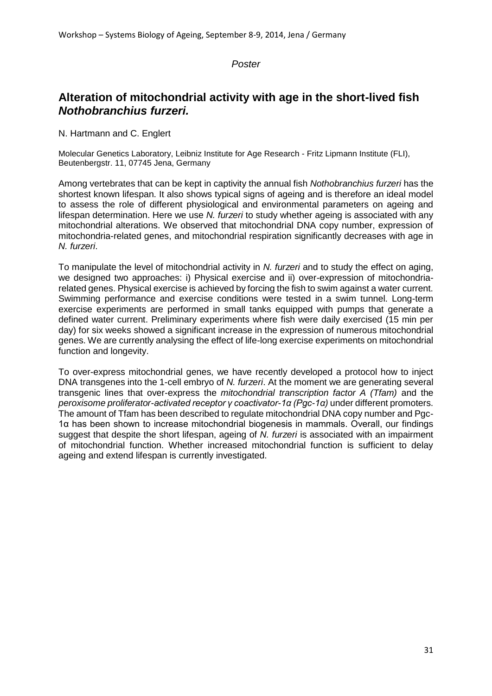## **Alteration of mitochondrial activity with age in the short-lived fish**  *Nothobranchius furzeri.*

N. Hartmann and C. Englert

Molecular Genetics Laboratory, Leibniz Institute for Age Research - Fritz Lipmann Institute (FLI), Beutenbergstr. 11, 07745 Jena, Germany

Among vertebrates that can be kept in captivity the annual fish *Nothobranchius furzeri* has the shortest known lifespan. It also shows typical signs of ageing and is therefore an ideal model to assess the role of different physiological and environmental parameters on ageing and lifespan determination. Here we use *N. furzeri* to study whether ageing is associated with any mitochondrial alterations. We observed that mitochondrial DNA copy number, expression of mitochondria-related genes, and mitochondrial respiration significantly decreases with age in *N. furzeri*.

To manipulate the level of mitochondrial activity in *N. furzeri* and to study the effect on aging, we designed two approaches: i) Physical exercise and ii) over-expression of mitochondriarelated genes. Physical exercise is achieved by forcing the fish to swim against a water current. Swimming performance and exercise conditions were tested in a swim tunnel. Long-term exercise experiments are performed in small tanks equipped with pumps that generate a defined water current. Preliminary experiments where fish were daily exercised (15 min per day) for six weeks showed a significant increase in the expression of numerous mitochondrial genes. We are currently analysing the effect of life-long exercise experiments on mitochondrial function and longevity.

To over-express mitochondrial genes, we have recently developed a protocol how to inject DNA transgenes into the 1-cell embryo of *N. furzeri*. At the moment we are generating several transgenic lines that over-express the *mitochondrial transcription factor A (Tfam)* and the *peroxisome proliferator-activated receptor γ coactivator-1α (Pgc-1α)* under different promoters. The amount of Tfam has been described to regulate mitochondrial DNA copy number and Pgc-1α has been shown to increase mitochondrial biogenesis in mammals. Overall, our findings suggest that despite the short lifespan, ageing of *N. furzeri* is associated with an impairment of mitochondrial function. Whether increased mitochondrial function is sufficient to delay ageing and extend lifespan is currently investigated.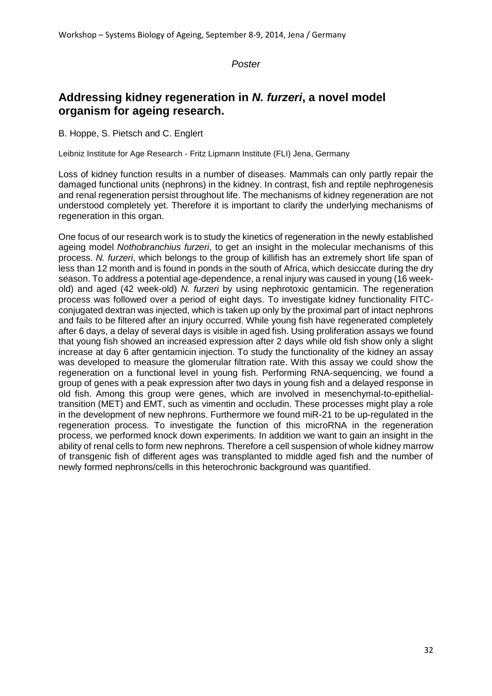## **Addressing kidney regeneration in** *N. furzeri***, a novel model organism for ageing research.**

B. Hoppe, S. Pietsch and C. Englert

Leibniz Institute for Age Research - Fritz Lipmann Institute (FLI) Jena, Germany

Loss of kidney function results in a number of diseases. Mammals can only partly repair the damaged functional units (nephrons) in the kidney. In contrast, fish and reptile nephrogenesis and renal regeneration persist throughout life. The mechanisms of kidney regeneration are not understood completely yet. Therefore it is important to clarify the underlying mechanisms of regeneration in this organ.

One focus of our research work is to study the kinetics of regeneration in the newly established ageing model *Nothobranchius furzeri*, to get an insight in the molecular mechanisms of this process. *N. furzeri*, which belongs to the group of killifish has an extremely short life span of less than 12 month and is found in ponds in the south of Africa, which desiccate during the dry season. To address a potential age-dependence, a renal injury was caused in young (16 weekold) and aged (42 week-old) *N. furzeri* by using nephrotoxic gentamicin. The regeneration process was followed over a period of eight days. To investigate kidney functionality FITCconjugated dextran was injected, which is taken up only by the proximal part of intact nephrons and fails to be filtered after an injury occurred. While young fish have regenerated completely after 6 days, a delay of several days is visible in aged fish. Using proliferation assays we found that young fish showed an increased expression after 2 days while old fish show only a slight increase at day 6 after gentamicin injection. To study the functionality of the kidney an assay was developed to measure the glomerular filtration rate. With this assay we could show the regeneration on a functional level in young fish. Performing RNA-sequencing, we found a group of genes with a peak expression after two days in young fish and a delayed response in old fish. Among this group were genes, which are involved in mesenchymal-to-epithelialtransition (MET) and EMT, such as vimentin and occludin. These processes might play a role in the development of new nephrons. Furthermore we found miR-21 to be up-regulated in the regeneration process. To investigate the function of this microRNA in the regeneration process, we performed knock down experiments. In addition we want to gain an insight in the ability of renal cells to form new nephrons. Therefore a cell suspension of whole kidney marrow of transgenic fish of different ages was transplanted to middle aged fish and the number of newly formed nephrons/cells in this heterochronic background was quantified.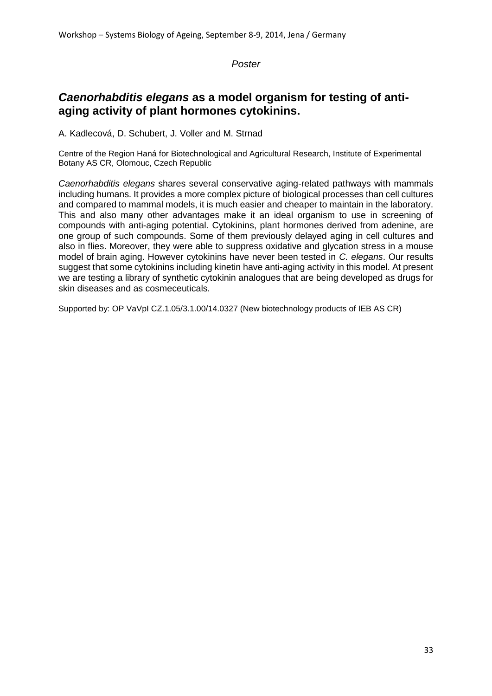## *Caenorhabditis elegans* **as a model organism for testing of antiaging activity of plant hormones cytokinins.**

A. Kadlecová, D. Schubert, J. Voller and M. Strnad

Centre of the Region Haná for Biotechnological and Agricultural Research, Institute of Experimental Botany AS CR, Olomouc, Czech Republic

*Caenorhabditis elegans* shares several conservative aging-related pathways with mammals including humans. It provides a more complex picture of biological processes than cell cultures and compared to mammal models, it is much easier and cheaper to maintain in the laboratory. This and also many other advantages make it an ideal organism to use in screening of compounds with anti-aging potential. Cytokinins, plant hormones derived from adenine, are one group of such compounds. Some of them previously delayed aging in cell cultures and also in flies. Moreover, they were able to suppress oxidative and glycation stress in a mouse model of brain aging. However cytokinins have never been tested in *C. elegans*. Our results suggest that some cytokinins including kinetin have anti-aging activity in this model. At present we are testing a library of synthetic cytokinin analogues that are being developed as drugs for skin diseases and as cosmeceuticals.

Supported by: OP VaVpI CZ.1.05/3.1.00/14.0327 (New biotechnology products of IEB AS CR)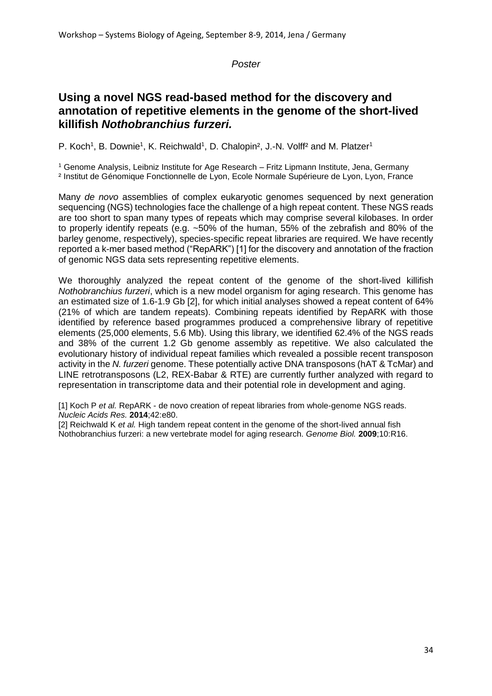## **Using a novel NGS read-based method for the discovery and annotation of repetitive elements in the genome of the short-lived killifish** *Nothobranchius furzeri.*

P. Koch<sup>1</sup>, B. Downie<sup>1</sup>, K. Reichwald<sup>1</sup>, D. Chalopin<sup>2</sup>, J.-N. Volff<sup>2</sup> and M. Platzer<sup>1</sup>

<sup>1</sup> Genome Analysis, Leibniz Institute for Age Research – Fritz Lipmann Institute, Jena, Germany ² Institut de Génomique Fonctionnelle de Lyon, Ecole Normale Supérieure de Lyon, Lyon, France

Many *de novo* assemblies of complex eukaryotic genomes sequenced by next generation sequencing (NGS) technologies face the challenge of a high repeat content. These NGS reads are too short to span many types of repeats which may comprise several kilobases. In order to properly identify repeats (e.g. ~50% of the human, 55% of the zebrafish and 80% of the barley genome, respectively), species-specific repeat libraries are required. We have recently reported a k-mer based method ("RepARK") [1] for the discovery and annotation of the fraction of genomic NGS data sets representing repetitive elements.

We thoroughly analyzed the repeat content of the genome of the short-lived killifish *Nothobranchius furzeri*, which is a new model organism for aging research. This genome has an estimated size of 1.6-1.9 Gb [2], for which initial analyses showed a repeat content of 64% (21% of which are tandem repeats). Combining repeats identified by RepARK with those identified by reference based programmes produced a comprehensive library of repetitive elements (25,000 elements, 5.6 Mb). Using this library, we identified 62.4% of the NGS reads and 38% of the current 1.2 Gb genome assembly as repetitive. We also calculated the evolutionary history of individual repeat families which revealed a possible recent transposon activity in the *N. furzeri* genome. These potentially active DNA transposons (hAT & TcMar) and LINE retrotransposons (L2, REX-Babar & RTE) are currently further analyzed with regard to representation in transcriptome data and their potential role in development and aging.

[1] Koch P *et al.* RepARK - de novo creation of repeat libraries from whole-genome NGS reads. *Nucleic Acids Res.* **2014**;42:e80.

[2] Reichwald K *et al.* High tandem repeat content in the genome of the short-lived annual fish Nothobranchius furzeri: a new vertebrate model for aging research. *Genome Biol.* **2009**;10:R16.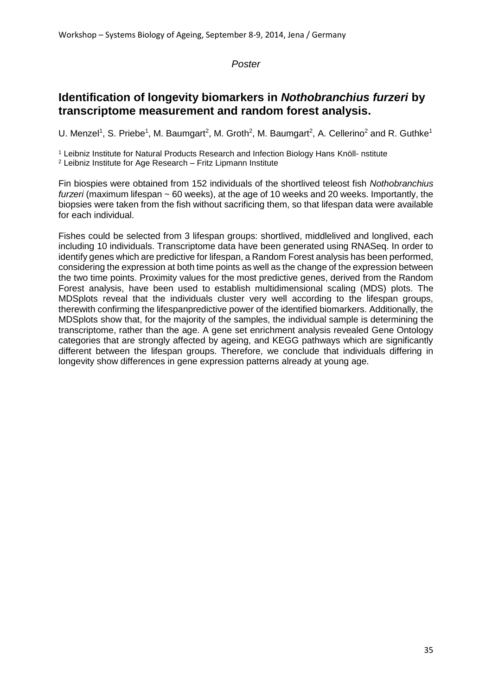## **Identification of longevity biomarkers in** *Nothobranchius furzeri* **by transcriptome measurement and random forest analysis.**

U. Menzel<sup>1</sup>, S. Priebe<sup>1</sup>, M. Baumgart<sup>2</sup>, M. Groth<sup>2</sup>, M. Baumgart<sup>2</sup>, A. Cellerino<sup>2</sup> and R. Guthke<sup>1</sup>

<sup>1</sup> Leibniz Institute for Natural Products Research and Infection Biology Hans Knöll- nstitute <sup>2</sup> Leibniz Institute for Age Research – Fritz Lipmann Institute

Fin biospies were obtained from 152 individuals of the shortlived teleost fish *Nothobranchius furzeri* (maximum lifespan ~ 60 weeks), at the age of 10 weeks and 20 weeks. Importantly, the biopsies were taken from the fish without sacrificing them, so that lifespan data were available for each individual.

Fishes could be selected from 3 lifespan groups: shortlived, middlelived and longlived, each including 10 individuals. Transcriptome data have been generated using RNASeq. In order to identify genes which are predictive for lifespan, a Random Forest analysis has been performed, considering the expression at both time points as well as the change of the expression between the two time points. Proximity values for the most predictive genes, derived from the Random Forest analysis, have been used to establish multidimensional scaling (MDS) plots. The MDSplots reveal that the individuals cluster very well according to the lifespan groups, therewith confirming the lifespanpredictive power of the identified biomarkers. Additionally, the MDSplots show that, for the majority of the samples, the individual sample is determining the transcriptome, rather than the age. A gene set enrichment analysis revealed Gene Ontology categories that are strongly affected by ageing, and KEGG pathways which are significantly different between the lifespan groups. Therefore, we conclude that individuals differing in longevity show differences in gene expression patterns already at young age.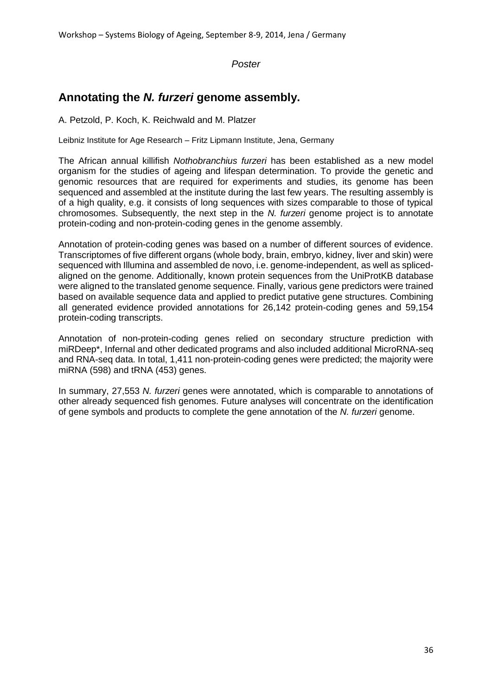## **Annotating the** *N. furzeri* **genome assembly.**

A. Petzold, P. Koch, K. Reichwald and M. Platzer

Leibniz Institute for Age Research – Fritz Lipmann Institute, Jena, Germany

The African annual killifish *Nothobranchius furzeri* has been established as a new model organism for the studies of ageing and lifespan determination. To provide the genetic and genomic resources that are required for experiments and studies, its genome has been sequenced and assembled at the institute during the last few years. The resulting assembly is of a high quality, e.g. it consists of long sequences with sizes comparable to those of typical chromosomes. Subsequently, the next step in the *N. furzeri* genome project is to annotate protein-coding and non-protein-coding genes in the genome assembly.

Annotation of protein-coding genes was based on a number of different sources of evidence. Transcriptomes of five different organs (whole body, brain, embryo, kidney, liver and skin) were sequenced with Illumina and assembled de novo, i.e. genome-independent, as well as splicedaligned on the genome. Additionally, known protein sequences from the UniProtKB database were aligned to the translated genome sequence. Finally, various gene predictors were trained based on available sequence data and applied to predict putative gene structures. Combining all generated evidence provided annotations for 26,142 protein-coding genes and 59,154 protein-coding transcripts.

Annotation of non-protein-coding genes relied on secondary structure prediction with miRDeep\*, Infernal and other dedicated programs and also included additional MicroRNA-seq and RNA-seq data. In total, 1,411 non-protein-coding genes were predicted; the majority were miRNA (598) and tRNA (453) genes.

In summary, 27,553 *N. furzeri* genes were annotated, which is comparable to annotations of other already sequenced fish genomes. Future analyses will concentrate on the identification of gene symbols and products to complete the gene annotation of the *N. furzeri* genome.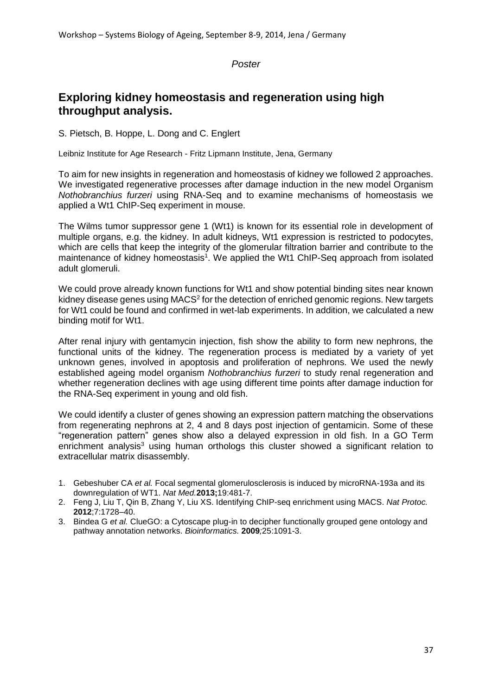## **Exploring kidney homeostasis and regeneration using high throughput analysis.**

S. Pietsch, B. Hoppe, L. Dong and C. Englert

Leibniz Institute for Age Research - Fritz Lipmann Institute, Jena, Germany

To aim for new insights in regeneration and homeostasis of kidney we followed 2 approaches. We investigated regenerative processes after damage induction in the new model Organism *Nothobranchius furzeri* using RNA-Seq and to examine mechanisms of homeostasis we applied a Wt1 ChIP-Seq experiment in mouse.

The Wilms tumor suppressor gene 1 (Wt1) is known for its essential role in development of multiple organs, e.g. the kidney. In adult kidneys, Wt1 expression is restricted to podocytes, which are cells that keep the integrity of the glomerular filtration barrier and contribute to the maintenance of kidney homeostasis<sup>1</sup>. We applied the Wt1 ChIP-Seq approach from isolated adult glomeruli.

We could prove already known functions for Wt1 and show potential binding sites near known kidney disease genes using MACS<sup>2</sup> for the detection of enriched genomic regions. New targets for Wt1 could be found and confirmed in wet-lab experiments. In addition, we calculated a new binding motif for Wt1.

After renal injury with gentamycin injection, fish show the ability to form new nephrons, the functional units of the kidney. The regeneration process is mediated by a variety of yet unknown genes, involved in apoptosis and proliferation of nephrons. We used the newly established ageing model organism *Nothobranchius furzeri* to study renal regeneration and whether regeneration declines with age using different time points after damage induction for the RNA-Seq experiment in young and old fish.

We could identify a cluster of genes showing an expression pattern matching the observations from regenerating nephrons at 2, 4 and 8 days post injection of gentamicin. Some of these "regeneration pattern" genes show also a delayed expression in old fish. In a GO Term enrichment analysis<sup>3</sup> using human orthologs this cluster showed a significant relation to extracellular matrix disassembly.

- 1. Gebeshuber CA *et al.* Focal segmental glomerulosclerosis is induced by microRNA-193a and its downregulation of WT1. *Nat Med.***2013;**19:481-7.
- 2. Feng J, Liu T, Qin B, Zhang Y, Liu XS. Identifying ChIP-seq enrichment using MACS. *Nat Protoc.* **2012**;7:1728–40.
- 3. Bindea G *et al.* ClueGO: a Cytoscape plug-in to decipher functionally grouped gene ontology and pathway annotation networks. *Bioinformatics.* **2009***;*25:1091-3.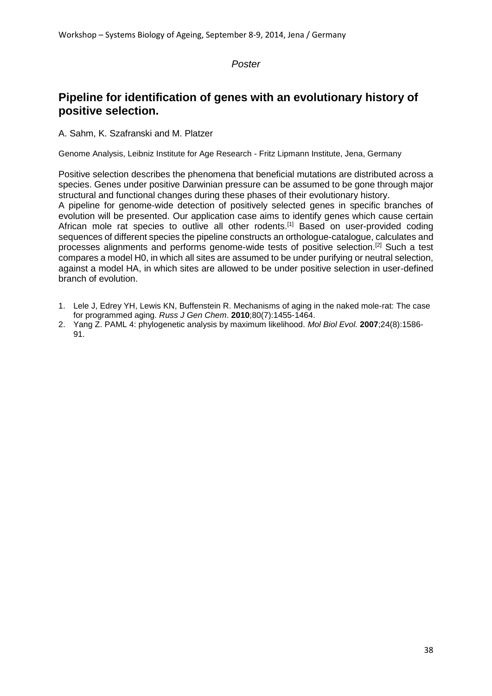## **Pipeline for identification of genes with an evolutionary history of positive selection.**

A. Sahm, K. Szafranski and M. Platzer

Genome Analysis, Leibniz Institute for Age Research - Fritz Lipmann Institute, Jena, Germany

Positive selection describes the phenomena that beneficial mutations are distributed across a species. Genes under positive Darwinian pressure can be assumed to be gone through major structural and functional changes during these phases of their evolutionary history.

A pipeline for genome-wide detection of positively selected genes in specific branches of evolution will be presented. Our application case aims to identify genes which cause certain African mole rat species to outlive all other rodents.<sup>[1]</sup> Based on user-provided coding sequences of different species the pipeline constructs an orthologue-catalogue, calculates and processes alignments and performs genome-wide tests of positive selection.[2] Such a test compares a model H0, in which all sites are assumed to be under purifying or neutral selection, against a model HA, in which sites are allowed to be under positive selection in user-defined branch of evolution.

- 1. Lele J, Edrey YH, Lewis KN, Buffenstein R. Mechanisms of aging in the naked mole-rat: The case for programmed aging. *Russ J Gen Chem*. **2010**;80(7):1455-1464.
- 2. Yang Z. PAML 4: phylogenetic analysis by maximum likelihood. *Mol Biol Evol.* **2007**;24(8):1586- 91.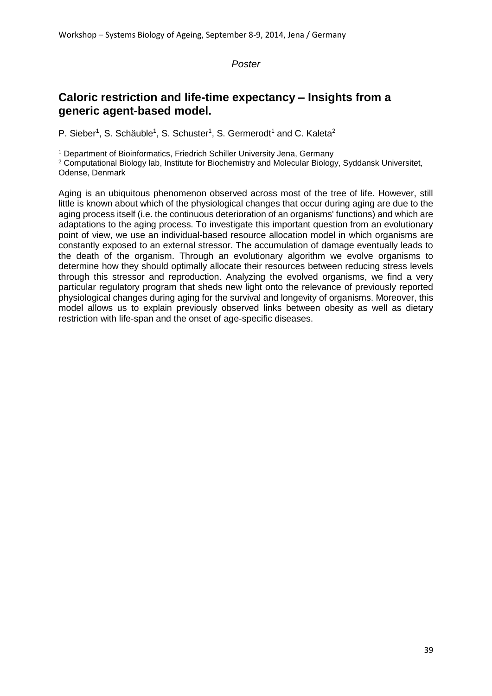## **Caloric restriction and life-time expectancy – Insights from a generic agent-based model.**

P. Sieber<sup>1</sup>, S. Schäuble<sup>1</sup>, S. Schuster<sup>1</sup>, S. Germerodt<sup>1</sup> and C. Kaleta<sup>2</sup>

<sup>1</sup> Department of Bioinformatics, Friedrich Schiller University Jena, Germany

<sup>2</sup> Computational Biology lab, Institute for Biochemistry and Molecular Biology, Syddansk Universitet, Odense, Denmark

Aging is an ubiquitous phenomenon observed across most of the tree of life. However, still little is known about which of the physiological changes that occur during aging are due to the aging process itself (i.e. the continuous deterioration of an organisms' functions) and which are adaptations to the aging process. To investigate this important question from an evolutionary point of view, we use an individual-based resource allocation model in which organisms are constantly exposed to an external stressor. The accumulation of damage eventually leads to the death of the organism. Through an evolutionary algorithm we evolve organisms to determine how they should optimally allocate their resources between reducing stress levels through this stressor and reproduction. Analyzing the evolved organisms, we find a very particular regulatory program that sheds new light onto the relevance of previously reported physiological changes during aging for the survival and longevity of organisms. Moreover, this model allows us to explain previously observed links between obesity as well as dietary restriction with life-span and the onset of age-specific diseases.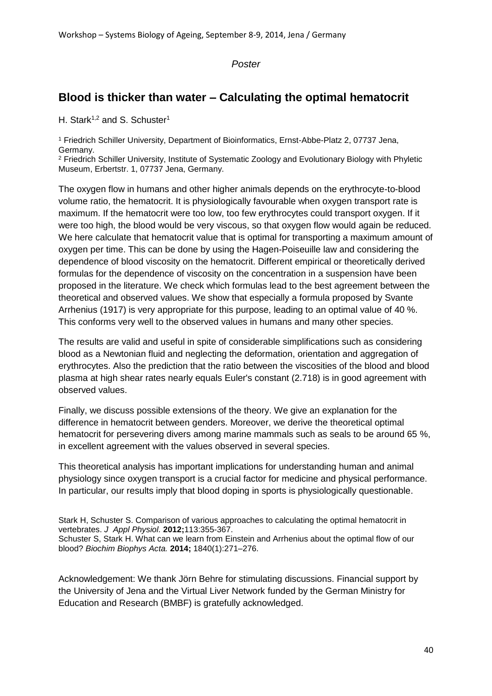## **Blood is thicker than water – Calculating the optimal hematocrit**

H. Stark<sup>1,2</sup> and S. Schuster<sup>1</sup>

<sup>1</sup> Friedrich Schiller University, Department of Bioinformatics, Ernst-Abbe-Platz 2, 07737 Jena, Germany.

<sup>2</sup> Friedrich Schiller University, Institute of Systematic Zoology and Evolutionary Biology with Phyletic Museum, Erbertstr. 1, 07737 Jena, Germany.

The oxygen flow in humans and other higher animals depends on the erythrocyte-to-blood volume ratio, the hematocrit. It is physiologically favourable when oxygen transport rate is maximum. If the hematocrit were too low, too few erythrocytes could transport oxygen. If it were too high, the blood would be very viscous, so that oxygen flow would again be reduced. We here calculate that hematocrit value that is optimal for transporting a maximum amount of oxygen per time. This can be done by using the Hagen-Poiseuille law and considering the dependence of blood viscosity on the hematocrit. Different empirical or theoretically derived formulas for the dependence of viscosity on the concentration in a suspension have been proposed in the literature. We check which formulas lead to the best agreement between the theoretical and observed values. We show that especially a formula proposed by Svante Arrhenius (1917) is very appropriate for this purpose, leading to an optimal value of 40 %. This conforms very well to the observed values in humans and many other species.

The results are valid and useful in spite of considerable simplifications such as considering blood as a Newtonian fluid and neglecting the deformation, orientation and aggregation of erythrocytes. Also the prediction that the ratio between the viscosities of the blood and blood plasma at high shear rates nearly equals Euler's constant (2.718) is in good agreement with observed values.

Finally, we discuss possible extensions of the theory. We give an explanation for the difference in hematocrit between genders. Moreover, we derive the theoretical optimal hematocrit for persevering divers among marine mammals such as seals to be around 65 %, in excellent agreement with the values observed in several species.

This theoretical analysis has important implications for understanding human and animal physiology since oxygen transport is a crucial factor for medicine and physical performance. In particular, our results imply that blood doping in sports is physiologically questionable.

Stark H, Schuster S. Comparison of various approaches to calculating the optimal hematocrit in vertebrates. *J Appl Physiol.* **2012;**113:355-367. Schuster S, Stark H. What can we learn from Einstein and Arrhenius about the optimal flow of our blood? *Biochim Biophys Acta.* **2014;** 1840(1):271–276.

Acknowledgement: We thank Jörn Behre for stimulating discussions. Financial support by the University of Jena and the Virtual Liver Network funded by the German Ministry for Education and Research (BMBF) is gratefully acknowledged.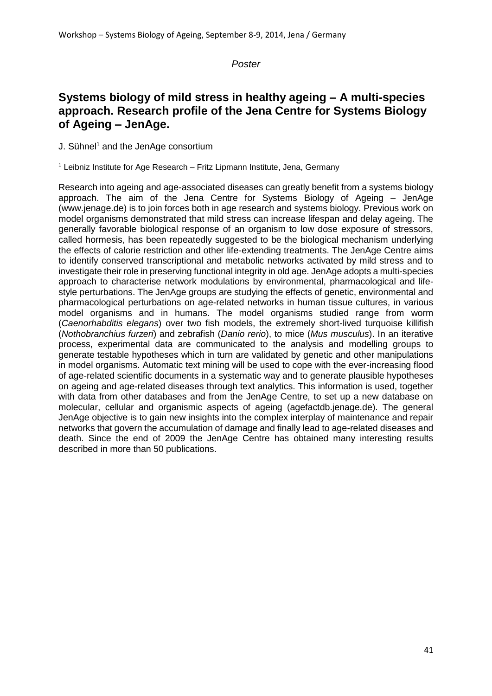## **Systems biology of mild stress in healthy ageing – A multi-species approach. Research profile of the Jena Centre for Systems Biology of Ageing – JenAge.**

J. Sühnel<sup>1</sup> and the JenAge consortium

<sup>1</sup> Leibniz Institute for Age Research – Fritz Lipmann Institute, Jena, Germany

Research into ageing and age-associated diseases can greatly benefit from a systems biology approach. The aim of the Jena Centre for Systems Biology of Ageing – JenAge (www.jenage.de) is to join forces both in age research and systems biology. Previous work on model organisms demonstrated that mild stress can increase lifespan and delay ageing. The generally favorable biological response of an organism to low dose exposure of stressors, called hormesis, has been repeatedly suggested to be the biological mechanism underlying the effects of calorie restriction and other life-extending treatments. The JenAge Centre aims to identify conserved transcriptional and metabolic networks activated by mild stress and to investigate their role in preserving functional integrity in old age. JenAge adopts a multi-species approach to characterise network modulations by environmental, pharmacological and lifestyle perturbations. The JenAge groups are studying the effects of genetic, environmental and pharmacological perturbations on age-related networks in human tissue cultures, in various model organisms and in humans. The model organisms studied range from worm (*Caenorhabditis elegans*) over two fish models, the extremely short-lived turquoise killifish (*Nothobranchius furzeri*) and zebrafish (*Danio rerio*), to mice (*Mus musculus*). In an iterative process, experimental data are communicated to the analysis and modelling groups to generate testable hypotheses which in turn are validated by genetic and other manipulations in model organisms. Automatic text mining will be used to cope with the ever-increasing flood of age-related scientific documents in a systematic way and to generate plausible hypotheses on ageing and age-related diseases through text analytics. This information is used, together with data from other databases and from the JenAge Centre, to set up a new database on molecular, cellular and organismic aspects of ageing (agefactdb.jenage.de). The general JenAge objective is to gain new insights into the complex interplay of maintenance and repair networks that govern the accumulation of damage and finally lead to age-related diseases and death. Since the end of 2009 the JenAge Centre has obtained many interesting results described in more than 50 publications.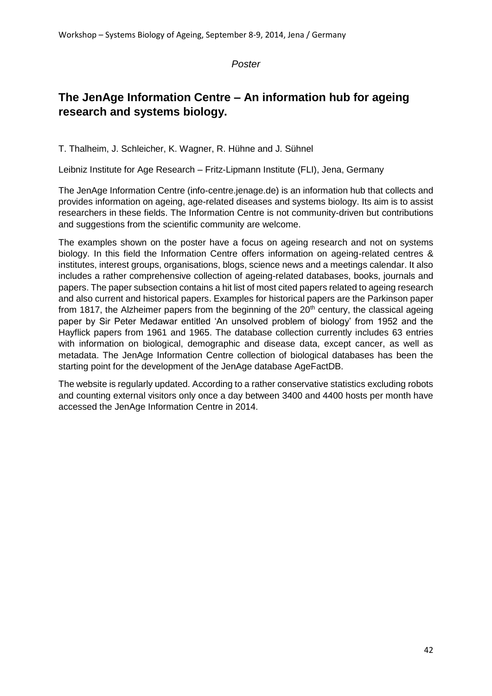## **The JenAge Information Centre – An information hub for ageing research and systems biology.**

T. Thalheim, J. Schleicher, K. Wagner, R. Hühne and J. Sühnel

Leibniz Institute for Age Research – Fritz-Lipmann Institute (FLI), Jena, Germany

The JenAge Information Centre (info-centre.jenage.de) is an information hub that collects and provides information on ageing, age-related diseases and systems biology. Its aim is to assist researchers in these fields. The Information Centre is not community-driven but contributions and suggestions from the scientific community are welcome.

The examples shown on the poster have a focus on ageing research and not on systems biology. In this field the Information Centre offers information on ageing-related centres & institutes, interest groups, organisations, blogs, science news and a meetings calendar. It also includes a rather comprehensive collection of ageing-related databases, books, journals and papers. The paper subsection contains a hit list of most cited papers related to ageing research and also current and historical papers. Examples for historical papers are the Parkinson paper from 1817, the Alzheimer papers from the beginning of the  $20<sup>th</sup>$  century, the classical ageing paper by Sir Peter Medawar entitled 'An unsolved problem of biology' from 1952 and the Hayflick papers from 1961 and 1965. The database collection currently includes 63 entries with information on biological, demographic and disease data, except cancer, as well as metadata. The JenAge Information Centre collection of biological databases has been the starting point for the development of the JenAge database AgeFactDB.

The website is regularly updated. According to a rather conservative statistics excluding robots and counting external visitors only once a day between 3400 and 4400 hosts per month have accessed the JenAge Information Centre in 2014.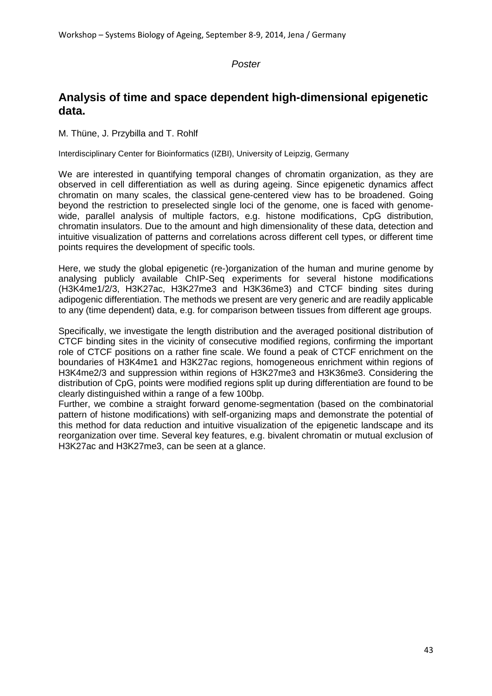## **Analysis of time and space dependent high-dimensional epigenetic data.**

M. Thüne, J. Przybilla and T. Rohlf

Interdisciplinary Center for Bioinformatics (IZBI), University of Leipzig, Germany

We are interested in quantifying temporal changes of chromatin organization, as they are observed in cell differentiation as well as during ageing. Since epigenetic dynamics affect chromatin on many scales, the classical gene-centered view has to be broadened. Going beyond the restriction to preselected single loci of the genome, one is faced with genomewide, parallel analysis of multiple factors, e.g. histone modifications, CpG distribution, chromatin insulators. Due to the amount and high dimensionality of these data, detection and intuitive visualization of patterns and correlations across different cell types, or different time points requires the development of specific tools.

Here, we study the global epigenetic (re-)organization of the human and murine genome by analysing publicly available ChIP-Seq experiments for several histone modifications (H3K4me1/2/3, H3K27ac, H3K27me3 and H3K36me3) and CTCF binding sites during adipogenic differentiation. The methods we present are very generic and are readily applicable to any (time dependent) data, e.g. for comparison between tissues from different age groups.

Specifically, we investigate the length distribution and the averaged positional distribution of CTCF binding sites in the vicinity of consecutive modified regions, confirming the important role of CTCF positions on a rather fine scale. We found a peak of CTCF enrichment on the boundaries of H3K4me1 and H3K27ac regions, homogeneous enrichment within regions of H3K4me2/3 and suppression within regions of H3K27me3 and H3K36me3. Considering the distribution of CpG, points were modified regions split up during differentiation are found to be clearly distinguished within a range of a few 100bp.

Further, we combine a straight forward genome-segmentation (based on the combinatorial pattern of histone modifications) with self-organizing maps and demonstrate the potential of this method for data reduction and intuitive visualization of the epigenetic landscape and its reorganization over time. Several key features, e.g. bivalent chromatin or mutual exclusion of H3K27ac and H3K27me3, can be seen at a glance.